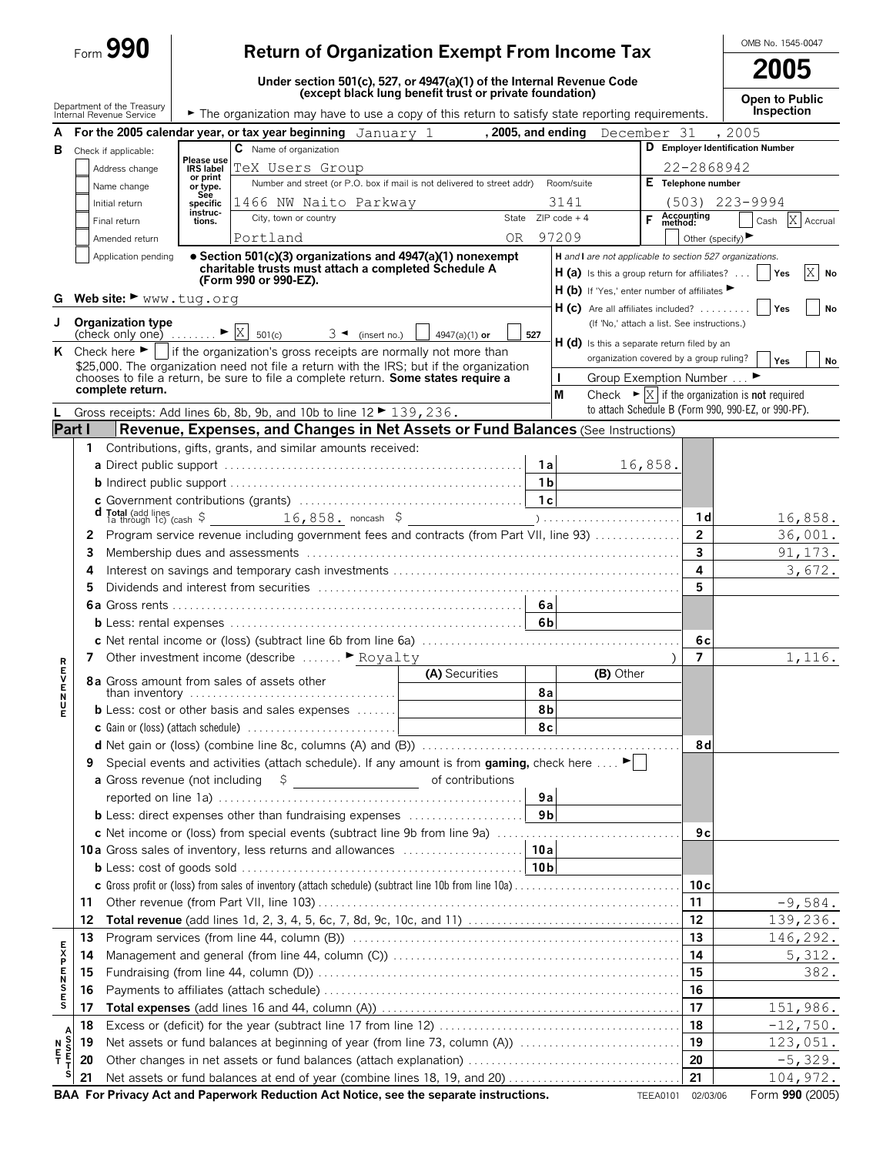|                       |          | $_{\text{Form}}$ 990                                                          |                       | <b>Return of Organization Exempt From Income Tax</b>                                                                                                                          |                                                                                                                                  |                |                                                                                                            |                     |                         | OMB No. 1545-0047                                                                 |
|-----------------------|----------|-------------------------------------------------------------------------------|-----------------------|-------------------------------------------------------------------------------------------------------------------------------------------------------------------------------|----------------------------------------------------------------------------------------------------------------------------------|----------------|------------------------------------------------------------------------------------------------------------|---------------------|-------------------------|-----------------------------------------------------------------------------------|
|                       |          |                                                                               |                       |                                                                                                                                                                               |                                                                                                                                  |                |                                                                                                            |                     |                         | 2005                                                                              |
|                       |          |                                                                               |                       |                                                                                                                                                                               | Under section 501(c), 527, or 4947(a)(1) of the Internal Revenue Code<br>(except black lung benefit trust or private foundation) |                |                                                                                                            |                     |                         | Open to Public                                                                    |
|                       |          | Department of the Treasury<br>Internal Revenue Service                        |                       | The organization may have to use a copy of this return to satisfy state reporting requirements.                                                                               |                                                                                                                                  |                |                                                                                                            |                     |                         | Inspection                                                                        |
|                       |          |                                                                               |                       | A For the 2005 calendar year, or tax year beginning January 1, 2005, and ending December 31                                                                                   |                                                                                                                                  |                |                                                                                                            |                     |                         | , 2005                                                                            |
|                       |          | <b>B</b> Check if applicable:                                                 | Please use            | C Name of organization                                                                                                                                                        |                                                                                                                                  |                |                                                                                                            |                     |                         | D Employer Identification Number                                                  |
|                       |          | Address change                                                                | IRS label<br>or print | TeX Users Group                                                                                                                                                               |                                                                                                                                  |                |                                                                                                            |                     | 22-2868942              |                                                                                   |
|                       |          | Name change                                                                   | or type.<br>See       | Number and street (or P.O. box if mail is not delivered to street addr) Room/suite                                                                                            |                                                                                                                                  |                |                                                                                                            |                     | E Telephone number      |                                                                                   |
|                       |          | Initial return                                                                | specific<br>instruc-  | 1466 NW Naito Parkway<br>City, town or country                                                                                                                                |                                                                                                                                  |                | 3141<br>State $ZIPcode + 4$                                                                                |                     |                         | $(503)$ 223-9994                                                                  |
|                       |          | Final return                                                                  | tions.                |                                                                                                                                                                               |                                                                                                                                  |                | 97209                                                                                                      | <b>F</b> Accounting |                         | X Accrual<br>Cash                                                                 |
|                       |          | Amended return<br>Application pending                                         |                       | Portland<br>• Section 501(c)(3) organizations and 4947(a)(1) nonexempt                                                                                                        | 0 <sub>R</sub>                                                                                                                   |                | H and I are not applicable to section 527 organizations.                                                   |                     | Other (specify)         |                                                                                   |
| G                     |          | Web site: $\blacktriangleright$ www.tug.org                                   |                       | charitable trusts must attach a completed Schedule A<br>(Form 990 or 990-EZ).                                                                                                 |                                                                                                                                  |                | <b>H</b> (a) Is this a group return for affiliates? $\ldots$<br>H (b) If 'Yes,' enter number of affiliates |                     |                         | $\mathbf{x}$<br><b>Yes</b><br>No                                                  |
|                       |          |                                                                               |                       |                                                                                                                                                                               |                                                                                                                                  |                | $H(c)$ Are all affiliates included?                                                                        |                     |                         | Yes<br>No                                                                         |
| J                     |          | <b>Organization type</b><br>(check only one) $\mathbb{R}$ $\mathbb{R}$ 501(c) |                       | $3 \blacktriangleleft$ (insert no.)                                                                                                                                           | $4947(a)(1)$ or                                                                                                                  | 527            | (If 'No,' attach a list. See instructions.)                                                                |                     |                         |                                                                                   |
|                       |          |                                                                               |                       | K Check here $\blacktriangleright$   if the organization's gross receipts are normally not more than                                                                          |                                                                                                                                  |                | H (d) Is this a separate return filed by an<br>organization covered by a group ruling?                     |                     |                         |                                                                                   |
|                       |          |                                                                               |                       | \$25,000. The organization need not file a return with the IRS; but if the organization<br>chooses to file a return, be sure to file a complete return. Some states require a |                                                                                                                                  |                | Group Exemption Number ▶                                                                                   |                     |                         | <b>Yes</b><br>No                                                                  |
|                       |          | complete return.                                                              |                       |                                                                                                                                                                               |                                                                                                                                  |                | М                                                                                                          |                     |                         | Check $\triangleright$ $\vert X \vert$ if the organization is <b>not</b> required |
|                       |          |                                                                               |                       | Gross receipts: Add lines 6b, 8b, 9b, and 10b to line 12 ▶ 139, 236.                                                                                                          |                                                                                                                                  |                |                                                                                                            |                     |                         | to attach Schedule B (Form 990, 990-EZ, or 990-PF).                               |
| Part I                |          |                                                                               |                       | Revenue, Expenses, and Changes in Net Assets or Fund Balances (See Instructions)                                                                                              |                                                                                                                                  |                |                                                                                                            |                     |                         |                                                                                   |
|                       | 1.       |                                                                               |                       | Contributions, gifts, grants, and similar amounts received:                                                                                                                   |                                                                                                                                  |                |                                                                                                            |                     |                         |                                                                                   |
|                       |          |                                                                               |                       |                                                                                                                                                                               |                                                                                                                                  | - 1 a l        |                                                                                                            | 16,858.             |                         |                                                                                   |
|                       |          |                                                                               |                       |                                                                                                                                                                               |                                                                                                                                  |                |                                                                                                            |                     |                         |                                                                                   |
|                       |          |                                                                               |                       |                                                                                                                                                                               |                                                                                                                                  |                |                                                                                                            |                     |                         |                                                                                   |
|                       |          |                                                                               |                       |                                                                                                                                                                               |                                                                                                                                  |                |                                                                                                            |                     | 1 <sub>d</sub>          | 16,858.                                                                           |
|                       |          |                                                                               |                       | 2 Program service revenue including government fees and contracts (from Part VII, line 93)                                                                                    |                                                                                                                                  |                |                                                                                                            |                     | $\overline{2}$          | 36,001.                                                                           |
|                       | 3        |                                                                               |                       |                                                                                                                                                                               |                                                                                                                                  |                |                                                                                                            |                     | $\overline{\mathbf{3}}$ | 91,173.                                                                           |
|                       | 4<br>5.  |                                                                               |                       |                                                                                                                                                                               |                                                                                                                                  |                |                                                                                                            |                     | 4<br>5                  | 3,672.                                                                            |
|                       |          |                                                                               |                       |                                                                                                                                                                               |                                                                                                                                  |                |                                                                                                            |                     |                         |                                                                                   |
|                       |          |                                                                               |                       |                                                                                                                                                                               |                                                                                                                                  |                |                                                                                                            |                     |                         |                                                                                   |
|                       |          |                                                                               |                       |                                                                                                                                                                               |                                                                                                                                  |                |                                                                                                            |                     | 6c                      |                                                                                   |
|                       |          |                                                                               |                       | 7 Other investment income (describe  Floyalty                                                                                                                                 |                                                                                                                                  |                |                                                                                                            |                     | $\overline{7}$          | 1,116.                                                                            |
| R<br>E<br>V           |          |                                                                               |                       | 8a Gross amount from sales of assets other                                                                                                                                    | (A) Securities                                                                                                                   |                | (B) Other                                                                                                  |                     |                         |                                                                                   |
| <b>ENUE</b>           |          |                                                                               |                       | than inventory $\ldots \ldots \ldots \ldots \ldots \ldots \ldots \ldots \ldots \ldots$                                                                                        |                                                                                                                                  | 8a             |                                                                                                            |                     |                         |                                                                                   |
|                       |          |                                                                               |                       | <b>b</b> Less: cost or other basis and sales expenses                                                                                                                         |                                                                                                                                  | 8 <sub>b</sub> |                                                                                                            |                     |                         |                                                                                   |
|                       |          |                                                                               |                       |                                                                                                                                                                               |                                                                                                                                  | 8c             |                                                                                                            |                     |                         |                                                                                   |
|                       |          |                                                                               |                       |                                                                                                                                                                               |                                                                                                                                  |                |                                                                                                            |                     | 8d                      |                                                                                   |
|                       | 9        |                                                                               |                       | Special events and activities (attach schedule). If any amount is from gaming, check here $\dots$ .                                                                           |                                                                                                                                  |                |                                                                                                            |                     |                         |                                                                                   |
|                       |          |                                                                               |                       |                                                                                                                                                                               |                                                                                                                                  | 9a             |                                                                                                            |                     |                         |                                                                                   |
|                       |          |                                                                               |                       | <b>b</b> Less: direct expenses other than fundraising expenses                                                                                                                |                                                                                                                                  | 9 <sub>b</sub> |                                                                                                            |                     |                         |                                                                                   |
|                       |          |                                                                               |                       | c Net income or (loss) from special events (subtract line 9b from line 9a)                                                                                                    |                                                                                                                                  |                |                                                                                                            |                     | 9с                      |                                                                                   |
|                       |          |                                                                               |                       |                                                                                                                                                                               |                                                                                                                                  |                |                                                                                                            |                     |                         |                                                                                   |
|                       |          |                                                                               |                       |                                                                                                                                                                               |                                                                                                                                  |                |                                                                                                            |                     |                         |                                                                                   |
|                       |          |                                                                               |                       |                                                                                                                                                                               |                                                                                                                                  |                |                                                                                                            |                     | 10c                     |                                                                                   |
|                       | 11       |                                                                               |                       |                                                                                                                                                                               |                                                                                                                                  |                |                                                                                                            |                     | 11                      | $-9,584.$                                                                         |
|                       | 12       |                                                                               |                       |                                                                                                                                                                               |                                                                                                                                  |                |                                                                                                            |                     | 12                      | 139,236.                                                                          |
|                       | 13       |                                                                               |                       |                                                                                                                                                                               |                                                                                                                                  |                |                                                                                                            |                     | 13                      | 146,292.                                                                          |
| <b>EXPENSES</b>       | 14       |                                                                               |                       |                                                                                                                                                                               |                                                                                                                                  |                |                                                                                                            |                     | 14<br>15                | 5,312.                                                                            |
|                       | 15<br>16 |                                                                               |                       |                                                                                                                                                                               |                                                                                                                                  |                |                                                                                                            |                     | 16                      | 382.                                                                              |
|                       | 17       |                                                                               |                       |                                                                                                                                                                               |                                                                                                                                  |                |                                                                                                            |                     | 17                      | 151,986.                                                                          |
|                       | 18       |                                                                               |                       |                                                                                                                                                                               |                                                                                                                                  |                |                                                                                                            |                     | 18                      | $-12,750.$                                                                        |
| Ν                     | 19       |                                                                               |                       | Net assets or fund balances at beginning of year (from line 73, column (A))                                                                                                   |                                                                                                                                  |                |                                                                                                            |                     | 19                      | 123,051.                                                                          |
| A<br>S<br>F<br>T<br>т | 20       |                                                                               |                       |                                                                                                                                                                               |                                                                                                                                  |                |                                                                                                            |                     | 20                      | $-5,329.$                                                                         |
|                       | 21       |                                                                               |                       |                                                                                                                                                                               |                                                                                                                                  |                |                                                                                                            |                     | 21                      | 104,972.                                                                          |
|                       |          |                                                                               |                       |                                                                                                                                                                               |                                                                                                                                  |                |                                                                                                            |                     |                         |                                                                                   |

**BAA For Privacy Act and Paperwork Reduction Act Notice, see the separate instructions.** TEEA0101 02/03/06 Form 990 (2005)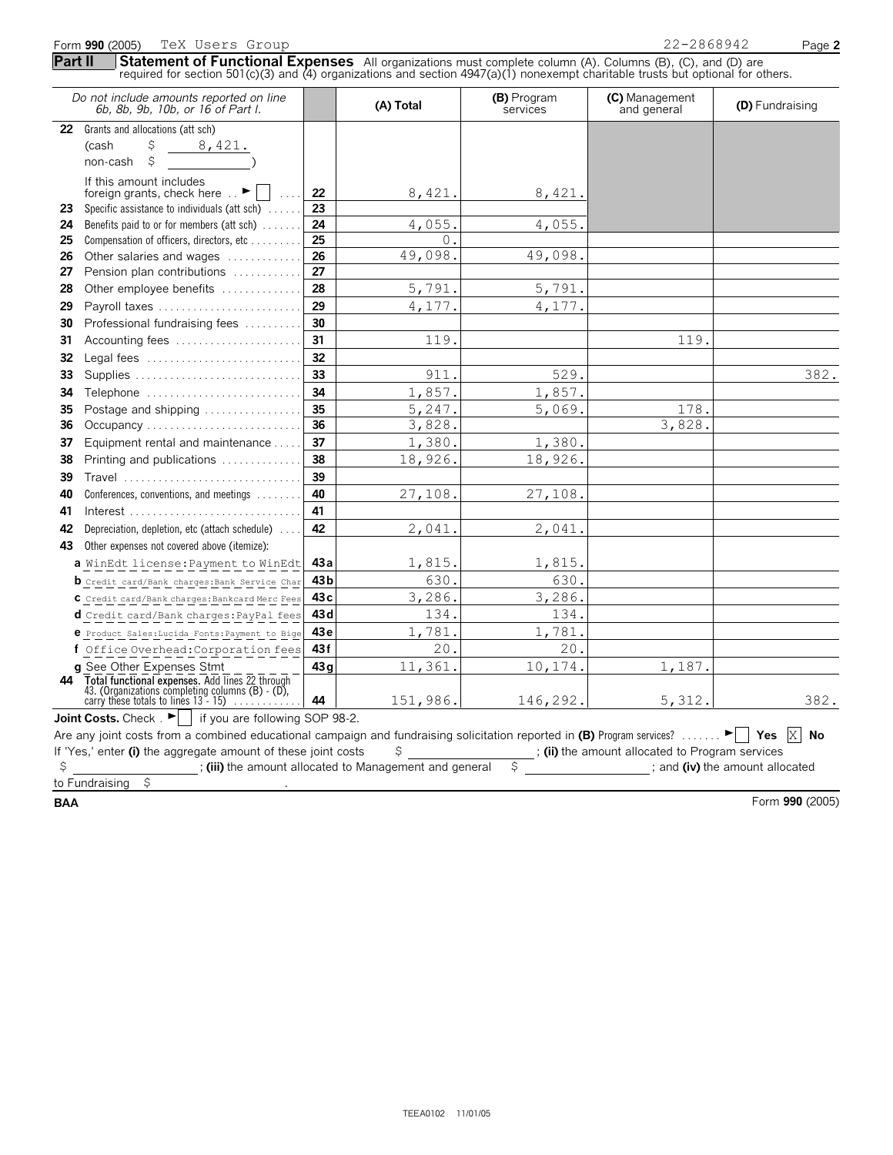|         | Form 990 (2005)<br>TeX Users Group                                                                                                                                                                                                               |                 |           |                         | 22-2868942                                      | Page 2          |
|---------|--------------------------------------------------------------------------------------------------------------------------------------------------------------------------------------------------------------------------------------------------|-----------------|-----------|-------------------------|-------------------------------------------------|-----------------|
| Part II | Statement of Functional Expenses All organizations must complete column (A). Columns (B), (C), and (D) are<br>required for section 501(c)(3) and (4) organizations and section $4947(a)(1)$ nonexempt charitable trusts but optional for others. |                 |           |                         |                                                 |                 |
|         | Do not include amounts reported on line<br>6b, 8b, 9b, 10b, or 16 of Part I.                                                                                                                                                                     |                 | (A) Total | (B) Program<br>services | (C) Management<br>and general                   | (D) Fundraising |
| 22      | Grants and allocations (att sch)                                                                                                                                                                                                                 |                 |           |                         |                                                 |                 |
|         | \$<br>8,421.<br>(cash                                                                                                                                                                                                                            |                 |           |                         |                                                 |                 |
|         | \$<br>non-cash                                                                                                                                                                                                                                   |                 |           |                         |                                                 |                 |
|         | If this amount includes<br>foreign grants, check here $\ldots$                                                                                                                                                                                   | 22              | 8,421.    | 8,421.                  |                                                 |                 |
| 23      | Specific assistance to individuals (att sch)                                                                                                                                                                                                     | 23              |           |                         |                                                 |                 |
| 24      | Benefits paid to or for members (att sch)                                                                                                                                                                                                        | 24              | 4,055.    | 4,055.                  |                                                 |                 |
| 25      | Compensation of officers, directors, etc                                                                                                                                                                                                         | 25              | 0.        |                         |                                                 |                 |
| 26      | Other salaries and wages                                                                                                                                                                                                                         | 26              | 49,098    | 49,098.                 |                                                 |                 |
| 27      | Pension plan contributions                                                                                                                                                                                                                       | 27              |           |                         |                                                 |                 |
| 28      | Other employee benefits                                                                                                                                                                                                                          | 28              | 5,791.    | 5,791.                  |                                                 |                 |
| 29      | Payroll taxes                                                                                                                                                                                                                                    | 29              | 4,177     | 4,177.                  |                                                 |                 |
| 30      | Professional fundraising fees                                                                                                                                                                                                                    | 30              |           |                         |                                                 |                 |
| 31      | Accounting fees                                                                                                                                                                                                                                  | 31              | 119.      |                         | 119.                                            |                 |
| 32      | Legal fees                                                                                                                                                                                                                                       | 32              |           |                         |                                                 |                 |
| 33      | Supplies                                                                                                                                                                                                                                         | 33              | 911       | 529.                    |                                                 | 382.            |
| 34      | Telephone                                                                                                                                                                                                                                        | 34              | 1,857.    | 1,857.                  |                                                 |                 |
| 35      | Postage and shipping                                                                                                                                                                                                                             | 35              | 5,247.    | 5,069.                  | 178.                                            |                 |
| 36      | Occupancy                                                                                                                                                                                                                                        | 36              | 3,828.    |                         | 3,828.                                          |                 |
| 37      | Equipment rental and maintenance                                                                                                                                                                                                                 | 37              | 1,380.    | 1,380.                  |                                                 |                 |
| 38      | Printing and publications                                                                                                                                                                                                                        | 38              | 18,926.   | 18,926.                 |                                                 |                 |
| 39      | Travel                                                                                                                                                                                                                                           | 39              |           |                         |                                                 |                 |
| 40      | Conferences, conventions, and meetings                                                                                                                                                                                                           | 40              | 27,108.   | 27,108.                 |                                                 |                 |
| 41      |                                                                                                                                                                                                                                                  | 41              |           |                         |                                                 |                 |
| 42      | Depreciation, depletion, etc (attach schedule)                                                                                                                                                                                                   | 42              | 2,041.    | 2,041.                  |                                                 |                 |
| 43      | Other expenses not covered above (itemize):                                                                                                                                                                                                      |                 |           |                         |                                                 |                 |
|         | a WinEdt license: Payment to WinEdt                                                                                                                                                                                                              | 43 a            | 1,815.    | 1,815.                  |                                                 |                 |
|         | <b>b</b> Credit card/Bank charges: Bank Service Char                                                                                                                                                                                             | 43b             | 630.      | 630.                    |                                                 |                 |
|         | C Credit card/Bank charges: Bankcard Merc Fees                                                                                                                                                                                                   | 43 <sub>c</sub> | 3,286.    | 3,286.                  |                                                 |                 |
|         | d Credit card/Bank charges: PayPal fees                                                                                                                                                                                                          | 43 d            | 134.      | 134.                    |                                                 |                 |
|         | e Product Sales: Lucida Fonts: Payment to Bige                                                                                                                                                                                                   | 43e             | 1,781     | 1,781                   |                                                 |                 |
|         | f Office Overhead: Corporation fees                                                                                                                                                                                                              | 43f             | 20        | 20                      |                                                 |                 |
|         | <b>q</b> See Other Expenses Stmt                                                                                                                                                                                                                 | 43q             | 11,361    | 10,174.                 | 1,187.                                          |                 |
| 44      |                                                                                                                                                                                                                                                  |                 |           |                         |                                                 |                 |
|         | Total functional expenses. Add lines 22 through 43. (Organizations completing columns (B) - (D), carry these totals to lines $13 - 15$ )                                                                                                         | 44              | 151,986.  | 146,292.                | 5,312.                                          | 382.            |
|         | <b>Joint Costs.</b> Check $\begin{bmatrix} \bullet \\ \bullet \end{bmatrix}$ if you are following SOP 98-2.                                                                                                                                      |                 |           |                         |                                                 |                 |
|         | Are any joint costs from a combined educational campaign and fundraising solicitation reported in (B) Program services?                                                                                                                          |                 |           |                         |                                                 | Yes $X$ No      |
|         | If 'Yes,' enter (i) the aggregate amount of these joint costs                                                                                                                                                                                    |                 | \$        |                         | ; (ii) the amount allocated to Program services |                 |
| \$      | ; (iii) the amount allocated to Management and general                                                                                                                                                                                           |                 |           | \$                      | ; and (iv) the amount allocated                 |                 |
|         | to Fundraising<br>\$                                                                                                                                                                                                                             |                 |           |                         |                                                 |                 |

**BAA** Form **990** (2005)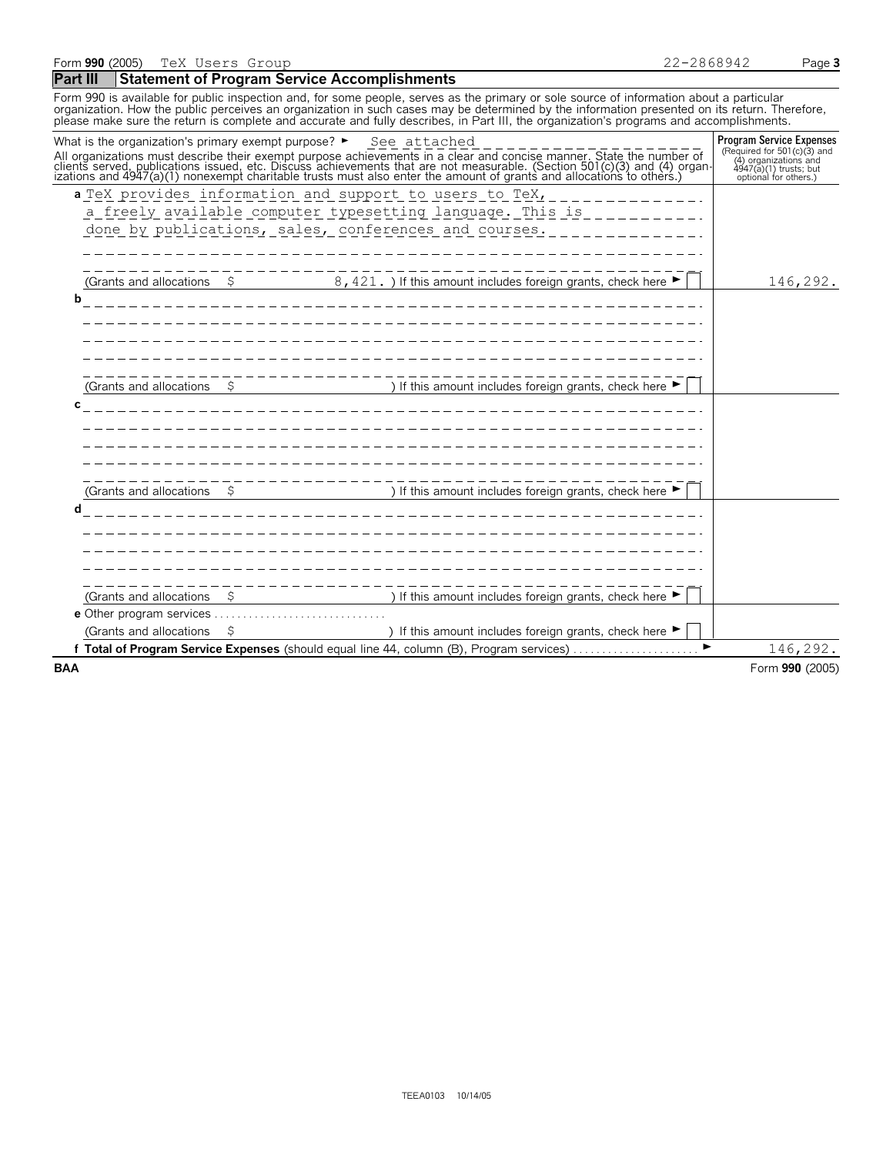#### **Part III Statement of Program Service Accomplishments**

Form 990 is available for public inspection and, for some people, serves as the primary or sole source of information about a particular organization. How the public perceives an organization in such cases may be determined by the information presented on its return. Therefore,<br>please make sure the return is complete and accurate and fully describes, in Par

| All organizations must describe their exempt purpose achievements in a clear and concise manner. State the number of clients served, publications issued, etc. Discuss achievements that are not measurable. (Section 501(c)(3<br>(4) organizations and<br>$4947(a)(1)$ trusts; but<br>optional for others.)<br>a TeX provides information and support to users to TeX,<br>a freely available computer typesetting language. This is<br>done by publications, sales, conferences and courses.<br>(Grants and allocations $\frac{1}{5}$ 8, 421.) If this amount includes foreign grants, check here $\blacktriangleright$<br>146,292.<br>b<br>(Grants and allocations $\qquad$ $\qquad$ ) If this amount includes foreign grants, check here $\blacktriangleright$<br>C<br>and the contract of the contract of the contract of the contract of the contract of the contract of the contract of the contract of the contract of the contract of the contract of the contract of the contract of the contra<br>-------------------<br>(Grants and allocations $\quad$ \$ ) If this amount includes foreign grants, check here $\blacktriangleright$<br>d<br>$\frac{1}{2}$ S if this amount includes foreign grants, check here $\blacktriangleright$<br>(Grants and allocations<br>) If this amount includes foreign grants, check here $\blacktriangleright$<br>(Grants and allocations<br>Total of Program Service Expenses (should equal line 44, column (B), Program services)<br>146,292. | What is the organization's primary exempt purpose? $\blacktriangleright$ See attached |  |  | <b>Program Service Expenses</b><br>(Required for 501(c)(3) and |
|---------------------------------------------------------------------------------------------------------------------------------------------------------------------------------------------------------------------------------------------------------------------------------------------------------------------------------------------------------------------------------------------------------------------------------------------------------------------------------------------------------------------------------------------------------------------------------------------------------------------------------------------------------------------------------------------------------------------------------------------------------------------------------------------------------------------------------------------------------------------------------------------------------------------------------------------------------------------------------------------------------------------------------------------------------------------------------------------------------------------------------------------------------------------------------------------------------------------------------------------------------------------------------------------------------------------------------------------------------------------------------------------------------------------------------------------------------------------------------------------|---------------------------------------------------------------------------------------|--|--|----------------------------------------------------------------|
|                                                                                                                                                                                                                                                                                                                                                                                                                                                                                                                                                                                                                                                                                                                                                                                                                                                                                                                                                                                                                                                                                                                                                                                                                                                                                                                                                                                                                                                                                             |                                                                                       |  |  |                                                                |
|                                                                                                                                                                                                                                                                                                                                                                                                                                                                                                                                                                                                                                                                                                                                                                                                                                                                                                                                                                                                                                                                                                                                                                                                                                                                                                                                                                                                                                                                                             |                                                                                       |  |  |                                                                |
|                                                                                                                                                                                                                                                                                                                                                                                                                                                                                                                                                                                                                                                                                                                                                                                                                                                                                                                                                                                                                                                                                                                                                                                                                                                                                                                                                                                                                                                                                             |                                                                                       |  |  |                                                                |
|                                                                                                                                                                                                                                                                                                                                                                                                                                                                                                                                                                                                                                                                                                                                                                                                                                                                                                                                                                                                                                                                                                                                                                                                                                                                                                                                                                                                                                                                                             |                                                                                       |  |  |                                                                |
|                                                                                                                                                                                                                                                                                                                                                                                                                                                                                                                                                                                                                                                                                                                                                                                                                                                                                                                                                                                                                                                                                                                                                                                                                                                                                                                                                                                                                                                                                             |                                                                                       |  |  |                                                                |
|                                                                                                                                                                                                                                                                                                                                                                                                                                                                                                                                                                                                                                                                                                                                                                                                                                                                                                                                                                                                                                                                                                                                                                                                                                                                                                                                                                                                                                                                                             |                                                                                       |  |  |                                                                |
|                                                                                                                                                                                                                                                                                                                                                                                                                                                                                                                                                                                                                                                                                                                                                                                                                                                                                                                                                                                                                                                                                                                                                                                                                                                                                                                                                                                                                                                                                             |                                                                                       |  |  |                                                                |
|                                                                                                                                                                                                                                                                                                                                                                                                                                                                                                                                                                                                                                                                                                                                                                                                                                                                                                                                                                                                                                                                                                                                                                                                                                                                                                                                                                                                                                                                                             |                                                                                       |  |  |                                                                |
|                                                                                                                                                                                                                                                                                                                                                                                                                                                                                                                                                                                                                                                                                                                                                                                                                                                                                                                                                                                                                                                                                                                                                                                                                                                                                                                                                                                                                                                                                             |                                                                                       |  |  |                                                                |
|                                                                                                                                                                                                                                                                                                                                                                                                                                                                                                                                                                                                                                                                                                                                                                                                                                                                                                                                                                                                                                                                                                                                                                                                                                                                                                                                                                                                                                                                                             |                                                                                       |  |  |                                                                |
|                                                                                                                                                                                                                                                                                                                                                                                                                                                                                                                                                                                                                                                                                                                                                                                                                                                                                                                                                                                                                                                                                                                                                                                                                                                                                                                                                                                                                                                                                             |                                                                                       |  |  |                                                                |
|                                                                                                                                                                                                                                                                                                                                                                                                                                                                                                                                                                                                                                                                                                                                                                                                                                                                                                                                                                                                                                                                                                                                                                                                                                                                                                                                                                                                                                                                                             |                                                                                       |  |  |                                                                |
|                                                                                                                                                                                                                                                                                                                                                                                                                                                                                                                                                                                                                                                                                                                                                                                                                                                                                                                                                                                                                                                                                                                                                                                                                                                                                                                                                                                                                                                                                             |                                                                                       |  |  |                                                                |
|                                                                                                                                                                                                                                                                                                                                                                                                                                                                                                                                                                                                                                                                                                                                                                                                                                                                                                                                                                                                                                                                                                                                                                                                                                                                                                                                                                                                                                                                                             |                                                                                       |  |  |                                                                |
|                                                                                                                                                                                                                                                                                                                                                                                                                                                                                                                                                                                                                                                                                                                                                                                                                                                                                                                                                                                                                                                                                                                                                                                                                                                                                                                                                                                                                                                                                             |                                                                                       |  |  |                                                                |
|                                                                                                                                                                                                                                                                                                                                                                                                                                                                                                                                                                                                                                                                                                                                                                                                                                                                                                                                                                                                                                                                                                                                                                                                                                                                                                                                                                                                                                                                                             |                                                                                       |  |  |                                                                |
|                                                                                                                                                                                                                                                                                                                                                                                                                                                                                                                                                                                                                                                                                                                                                                                                                                                                                                                                                                                                                                                                                                                                                                                                                                                                                                                                                                                                                                                                                             |                                                                                       |  |  |                                                                |
|                                                                                                                                                                                                                                                                                                                                                                                                                                                                                                                                                                                                                                                                                                                                                                                                                                                                                                                                                                                                                                                                                                                                                                                                                                                                                                                                                                                                                                                                                             |                                                                                       |  |  |                                                                |
|                                                                                                                                                                                                                                                                                                                                                                                                                                                                                                                                                                                                                                                                                                                                                                                                                                                                                                                                                                                                                                                                                                                                                                                                                                                                                                                                                                                                                                                                                             |                                                                                       |  |  |                                                                |
|                                                                                                                                                                                                                                                                                                                                                                                                                                                                                                                                                                                                                                                                                                                                                                                                                                                                                                                                                                                                                                                                                                                                                                                                                                                                                                                                                                                                                                                                                             |                                                                                       |  |  |                                                                |
|                                                                                                                                                                                                                                                                                                                                                                                                                                                                                                                                                                                                                                                                                                                                                                                                                                                                                                                                                                                                                                                                                                                                                                                                                                                                                                                                                                                                                                                                                             |                                                                                       |  |  |                                                                |
|                                                                                                                                                                                                                                                                                                                                                                                                                                                                                                                                                                                                                                                                                                                                                                                                                                                                                                                                                                                                                                                                                                                                                                                                                                                                                                                                                                                                                                                                                             |                                                                                       |  |  |                                                                |
|                                                                                                                                                                                                                                                                                                                                                                                                                                                                                                                                                                                                                                                                                                                                                                                                                                                                                                                                                                                                                                                                                                                                                                                                                                                                                                                                                                                                                                                                                             |                                                                                       |  |  |                                                                |
|                                                                                                                                                                                                                                                                                                                                                                                                                                                                                                                                                                                                                                                                                                                                                                                                                                                                                                                                                                                                                                                                                                                                                                                                                                                                                                                                                                                                                                                                                             |                                                                                       |  |  |                                                                |
|                                                                                                                                                                                                                                                                                                                                                                                                                                                                                                                                                                                                                                                                                                                                                                                                                                                                                                                                                                                                                                                                                                                                                                                                                                                                                                                                                                                                                                                                                             |                                                                                       |  |  |                                                                |
|                                                                                                                                                                                                                                                                                                                                                                                                                                                                                                                                                                                                                                                                                                                                                                                                                                                                                                                                                                                                                                                                                                                                                                                                                                                                                                                                                                                                                                                                                             |                                                                                       |  |  |                                                                |
|                                                                                                                                                                                                                                                                                                                                                                                                                                                                                                                                                                                                                                                                                                                                                                                                                                                                                                                                                                                                                                                                                                                                                                                                                                                                                                                                                                                                                                                                                             |                                                                                       |  |  |                                                                |
|                                                                                                                                                                                                                                                                                                                                                                                                                                                                                                                                                                                                                                                                                                                                                                                                                                                                                                                                                                                                                                                                                                                                                                                                                                                                                                                                                                                                                                                                                             |                                                                                       |  |  |                                                                |
| Form 990 (2005)                                                                                                                                                                                                                                                                                                                                                                                                                                                                                                                                                                                                                                                                                                                                                                                                                                                                                                                                                                                                                                                                                                                                                                                                                                                                                                                                                                                                                                                                             | <b>BAA</b>                                                                            |  |  |                                                                |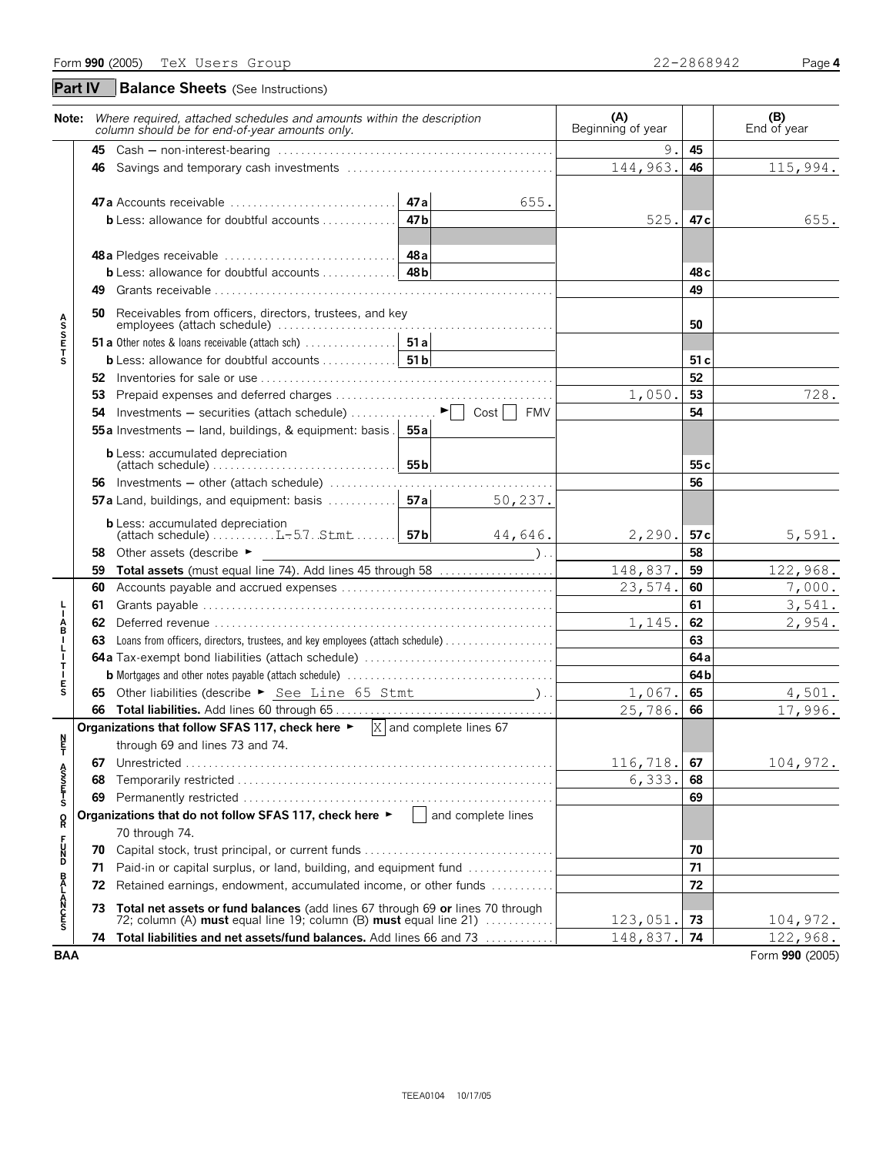|                                                                                     |     | Note: Where required, attached schedules and amounts within the description<br>column should be for end-of-year amounts only.                       | (A)<br>Beginning of year |                       | (B)<br>End of year |
|-------------------------------------------------------------------------------------|-----|-----------------------------------------------------------------------------------------------------------------------------------------------------|--------------------------|-----------------------|--------------------|
|                                                                                     |     |                                                                                                                                                     | 9.                       | 45                    |                    |
|                                                                                     |     |                                                                                                                                                     | 144,963.                 | 46                    | 115,994.           |
|                                                                                     |     | 47a<br>655.<br>47b<br><b>b</b> Less: allowance for doubtful accounts $\ldots \ldots \ldots$                                                         | 525.                     | 47 c                  | 655.               |
|                                                                                     | 49. |                                                                                                                                                     |                          | 48 <sub>c</sub><br>49 |                    |
|                                                                                     | 50  | Receivables from officers, directors, trustees, and key                                                                                             |                          | 50                    |                    |
| <b>ASSETS</b>                                                                       |     |                                                                                                                                                     |                          |                       |                    |
|                                                                                     |     |                                                                                                                                                     |                          | 51c                   |                    |
|                                                                                     |     |                                                                                                                                                     |                          | 52                    |                    |
|                                                                                     | 53  |                                                                                                                                                     | 1,050.                   | 53                    | 728.               |
|                                                                                     |     | <b>54</b> Investments – securities (attach schedule) $\ldots \ldots \ldots \vdash$   Cost     FMV                                                   |                          | 54                    |                    |
|                                                                                     |     | <b>55a</b> Investments $-$ land, buildings, & equipment: basis . <b>55a</b>                                                                         |                          |                       |                    |
|                                                                                     |     | <b>b</b> Less: accumulated depreciation<br>55 <sub>b</sub>                                                                                          |                          | 55 <sub>c</sub>       |                    |
|                                                                                     |     | $(attach schedule) \ldots \ldots \ldots \ldots \ldots \ldots \ldots \ldots$                                                                         |                          | 56                    |                    |
|                                                                                     |     | 50, 237.                                                                                                                                            |                          |                       |                    |
|                                                                                     |     | <b>b</b> Less: accumulated depreciation<br>(attach schedule) $\ldots \ldots \ldots L-57$ . Stmt $\ldots \ldots$ 57b<br>44,646.                      | 2,290.                   | 57 c                  | 5,591.             |
|                                                                                     | 58  | Other assets (describe ►                                                                                                                            |                          | 58                    |                    |
|                                                                                     | 59  | Total assets (must equal line 74). Add lines 45 through 58                                                                                          | 148,837.                 | 59                    | 122,968.           |
|                                                                                     | 60  |                                                                                                                                                     | 23,574.                  | 60                    | 7,000.             |
|                                                                                     | 61  |                                                                                                                                                     |                          | 61                    | 3,541.             |
| Å                                                                                   | 62  |                                                                                                                                                     | 1,145.                   | 62                    | 2,954.             |
|                                                                                     | 63  |                                                                                                                                                     |                          | 63                    |                    |
| $\begin{array}{c} \mathsf{I} \\ \mathsf{I} \\ \mathsf{I} \\ \mathsf{T} \end{array}$ |     |                                                                                                                                                     |                          | 64a                   |                    |
|                                                                                     |     |                                                                                                                                                     |                          | 64b                   |                    |
| $\frac{E}{S}$                                                                       |     | 65 Other liabilities (describe ► See Line 65 Stmt (2012)                                                                                            | 1,067.                   | 65                    | 4,501.             |
|                                                                                     |     |                                                                                                                                                     | 25,786.                  | 66                    | 17,996.            |
| n<br>F                                                                              |     | Organizations that follow SFAS 117, check here $\blacktriangleright$ $\mathbb{X}$ and complete lines 67<br>through 69 and lines 73 and 74.          |                          |                       |                    |
|                                                                                     |     |                                                                                                                                                     | 116,718.                 | 67                    | 104,972.           |
|                                                                                     | 68  |                                                                                                                                                     | 6,333.                   | 68                    |                    |
| A<br>S<br>S<br>T<br>S<br>S                                                          | 69  |                                                                                                                                                     |                          | 69                    |                    |
| $\overset{\mathsf{O}}{\mathsf{R}}$                                                  |     | Organizations that do not follow SFAS 117, check here $\blacktriangleright$   and complete lines                                                    |                          |                       |                    |
|                                                                                     |     | 70 through 74.                                                                                                                                      |                          |                       |                    |
| <b>PDSC</b>                                                                         | 70  | Capital stock, trust principal, or current funds                                                                                                    |                          | 70                    |                    |
|                                                                                     | 71  | Paid-in or capital surplus, or land, building, and equipment fund                                                                                   |                          | 71                    |                    |
|                                                                                     | 72  | Retained earnings, endowment, accumulated income, or other funds                                                                                    |                          | 72                    |                    |
| <b>BALANCES</b>                                                                     | 73. | Total net assets or fund balances (add lines 67 through 69 or lines 70 through<br>72; column (A) must equal line 19; column (B) must equal line 21) | 123,051.                 | 73                    | 104,972.           |
|                                                                                     |     | 74 Total liabilities and net assets/fund balances. Add lines 66 and 73                                                                              | 148,837.                 | 74                    | 122,968.           |
| <b>BAA</b>                                                                          |     |                                                                                                                                                     |                          |                       | Form 990 (2005)    |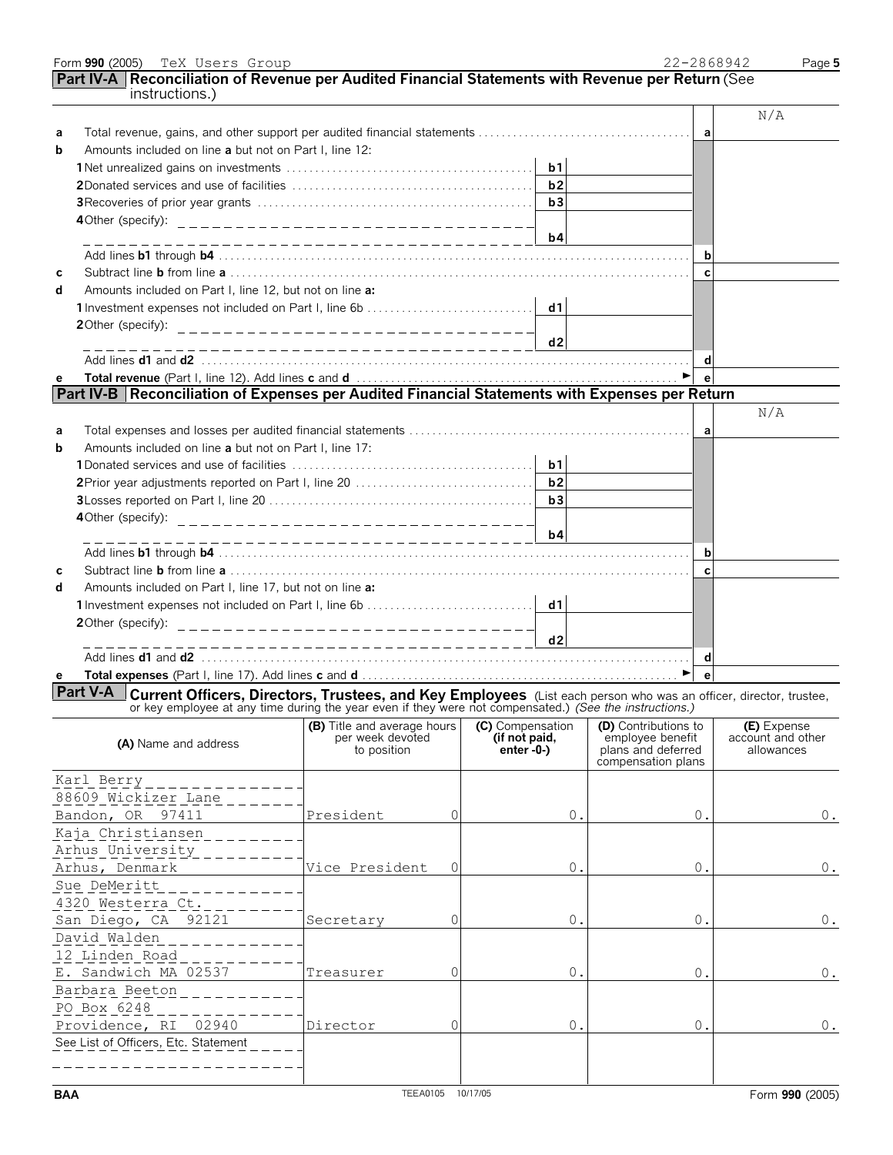|            | instructions.)                                                                                                                                                                                                                      |                                                                                                      |                                   |                                                              | N/A                                            |
|------------|-------------------------------------------------------------------------------------------------------------------------------------------------------------------------------------------------------------------------------------|------------------------------------------------------------------------------------------------------|-----------------------------------|--------------------------------------------------------------|------------------------------------------------|
| а          |                                                                                                                                                                                                                                     |                                                                                                      |                                   | a                                                            |                                                |
| b          | Amounts included on line a but not on Part I, line 12:                                                                                                                                                                              |                                                                                                      |                                   |                                                              |                                                |
|            |                                                                                                                                                                                                                                     |                                                                                                      | b1                                |                                                              |                                                |
|            |                                                                                                                                                                                                                                     |                                                                                                      | b2                                |                                                              |                                                |
|            |                                                                                                                                                                                                                                     |                                                                                                      | b3                                |                                                              |                                                |
|            |                                                                                                                                                                                                                                     |                                                                                                      | b4                                |                                                              |                                                |
|            |                                                                                                                                                                                                                                     |                                                                                                      |                                   | b                                                            |                                                |
| С          |                                                                                                                                                                                                                                     |                                                                                                      |                                   | $\mathbf{C}$                                                 |                                                |
| d          | Amounts included on Part I, line 12, but not on line a:                                                                                                                                                                             |                                                                                                      |                                   |                                                              |                                                |
|            |                                                                                                                                                                                                                                     |                                                                                                      |                                   |                                                              |                                                |
|            |                                                                                                                                                                                                                                     |                                                                                                      |                                   |                                                              |                                                |
|            |                                                                                                                                                                                                                                     |                                                                                                      | d2                                | d                                                            |                                                |
| е          |                                                                                                                                                                                                                                     |                                                                                                      |                                   | e <sup>-</sup>                                               |                                                |
|            | Part IV-B Reconciliation of Expenses per Audited Financial Statements with Expenses per Return                                                                                                                                      |                                                                                                      |                                   |                                                              |                                                |
|            |                                                                                                                                                                                                                                     |                                                                                                      |                                   |                                                              | N/A                                            |
| а          |                                                                                                                                                                                                                                     |                                                                                                      |                                   | a                                                            |                                                |
| b          | Amounts included on line a but not on Part I, line 17:                                                                                                                                                                              |                                                                                                      |                                   |                                                              |                                                |
|            |                                                                                                                                                                                                                                     |                                                                                                      | b1                                |                                                              |                                                |
|            |                                                                                                                                                                                                                                     |                                                                                                      | b2                                |                                                              |                                                |
|            |                                                                                                                                                                                                                                     |                                                                                                      | b3                                |                                                              |                                                |
|            |                                                                                                                                                                                                                                     |                                                                                                      |                                   |                                                              |                                                |
|            |                                                                                                                                                                                                                                     | ____________________________                                                                         | b4                                |                                                              |                                                |
|            |                                                                                                                                                                                                                                     |                                                                                                      |                                   | b                                                            |                                                |
| с          |                                                                                                                                                                                                                                     |                                                                                                      |                                   | $\mathbf{C}$                                                 |                                                |
| d          | Amounts included on Part I, line 17, but not on line a:                                                                                                                                                                             |                                                                                                      |                                   |                                                              |                                                |
|            |                                                                                                                                                                                                                                     |                                                                                                      |                                   |                                                              |                                                |
|            |                                                                                                                                                                                                                                     |                                                                                                      |                                   |                                                              |                                                |
|            |                                                                                                                                                                                                                                     | ______________________________                                                                       | d2                                |                                                              |                                                |
|            |                                                                                                                                                                                                                                     |                                                                                                      |                                   | d                                                            |                                                |
| е          |                                                                                                                                                                                                                                     |                                                                                                      |                                   | $\blacktriangleright$<br>$\mathbf{e}$                        |                                                |
|            | <b>Part V-A</b> Current Officers, Directors, Trustees, and Key Employees (List each person who was an officer, director, trustee, or key employee at any time during the year even if they were not compensated.) (See the instruct |                                                                                                      |                                   |                                                              |                                                |
|            | (A) Name and address                                                                                                                                                                                                                | (B) Title and average hours (C) Compensation (D) Contributions to<br>per week devoted<br>to position | (if not paid,<br>enter $-0$ - $)$ | employee benefit<br>plans and deferred<br>compensation plans | (E) Expense<br>account and other<br>allowances |
|            | Karl Berry                                                                                                                                                                                                                          |                                                                                                      |                                   |                                                              |                                                |
|            | 88609 Wickizer Lane                                                                                                                                                                                                                 |                                                                                                      |                                   |                                                              |                                                |
|            | Bandon, OR 97411                                                                                                                                                                                                                    | President<br>0                                                                                       | $0$ .                             | 0.                                                           | $0$ .                                          |
|            | Kaja Christiansen                                                                                                                                                                                                                   |                                                                                                      |                                   |                                                              |                                                |
|            | Arhus University                                                                                                                                                                                                                    |                                                                                                      |                                   |                                                              |                                                |
|            | Arhus, Denmark                                                                                                                                                                                                                      | Vice President<br>$\circ$                                                                            | $0$ .                             | $0$ .                                                        | $0$ .                                          |
|            | Sue DeMeritt                                                                                                                                                                                                                        |                                                                                                      |                                   |                                                              |                                                |
|            | 4320 Westerra Ct.                                                                                                                                                                                                                   |                                                                                                      |                                   |                                                              |                                                |
|            | San Diego, CA 92121                                                                                                                                                                                                                 | 0<br>Secretary                                                                                       | 0.                                | $0$ .                                                        | $0$ .                                          |
|            | David Walden                                                                                                                                                                                                                        |                                                                                                      |                                   |                                                              |                                                |
|            | 12 Linden Road                                                                                                                                                                                                                      |                                                                                                      |                                   |                                                              |                                                |
|            | E. Sandwich MA 02537                                                                                                                                                                                                                | 0<br>Treasurer                                                                                       | 0.                                | $0$ .                                                        | $0$ .                                          |
|            | Barbara Beeton                                                                                                                                                                                                                      |                                                                                                      |                                   |                                                              |                                                |
|            | PO Box 6248                                                                                                                                                                                                                         |                                                                                                      |                                   |                                                              |                                                |
|            | 02940<br>Providence, RI                                                                                                                                                                                                             | Director<br>0                                                                                        | $0$ .                             | 0.                                                           | $0$ .                                          |
|            | See List of Officers, Etc. Statement                                                                                                                                                                                                |                                                                                                      |                                   |                                                              |                                                |
|            |                                                                                                                                                                                                                                     |                                                                                                      |                                   |                                                              |                                                |
| <b>BAA</b> |                                                                                                                                                                                                                                     | TEEA0105 10/17/05                                                                                    |                                   |                                                              | Form 990 (2005)                                |

Form **990** (2005) Page **5**

TeX Users Group 22-2868942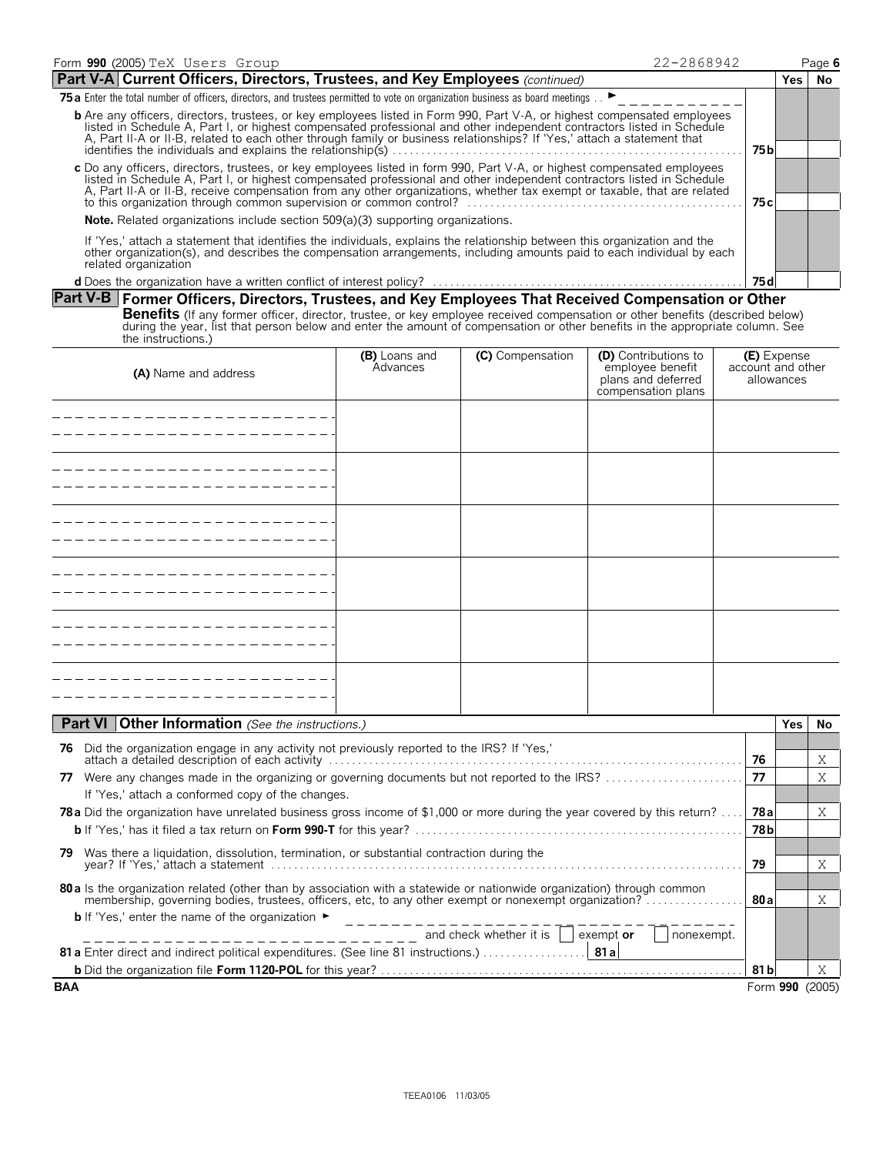| Form 990 (2005) TeX Users Group                                                                                                                                                                                                                                                                                                                                                              |                           |                  | 22-2868942                                                                           |                                  |            | Page 6    |
|----------------------------------------------------------------------------------------------------------------------------------------------------------------------------------------------------------------------------------------------------------------------------------------------------------------------------------------------------------------------------------------------|---------------------------|------------------|--------------------------------------------------------------------------------------|----------------------------------|------------|-----------|
| Part V-A Current Officers, Directors, Trustees, and Key Employees (continued)                                                                                                                                                                                                                                                                                                                |                           |                  |                                                                                      |                                  | <b>Yes</b> | <b>No</b> |
| 75 a Enter the total number of officers, directors, and trustees permitted to vote on organization business as board meetings                                                                                                                                                                                                                                                                |                           |                  |                                                                                      |                                  |            |           |
| <b>b</b> Are any officers, directors, trustees, or key employees listed in Form 990, Part V-A, or highest compensated employees<br>listed in Schedule A, Part I, or highest compensated professional and other independent contractors listed in Schedule<br>A, Part II-A or II-B, related to each other through family or business relationships? If 'Yes,' attach a statement that         |                           |                  |                                                                                      | 75 b                             |            |           |
| c Do any officers, directors, trustees, or key employees listed in form 990, Part V-A, or highest compensated employees<br>listed in Schedule A, Part I, or highest compensated professional and other independent contractors listed in Schedule<br>A, Part II-A or II-B, receive compensation from any other organizations, whether tax exempt or taxable, that are related                |                           |                  |                                                                                      |                                  |            |           |
| <b>Note.</b> Related organizations include section 509(a)(3) supporting organizations.                                                                                                                                                                                                                                                                                                       |                           |                  |                                                                                      |                                  |            |           |
| If 'Yes,' attach a statement that identifies the individuals, explains the relationship between this organization and the<br>other organization(s), and describes the compensation arrangements, including amounts paid to each individual by each<br>related organization                                                                                                                   |                           |                  |                                                                                      |                                  |            |           |
|                                                                                                                                                                                                                                                                                                                                                                                              |                           |                  |                                                                                      | 75 d                             |            |           |
| Part V-B Former Officers, Directors, Trustees, and Key Employees That Received Compensation or Other<br>Benefits (If any former officer, director, trustee, or key employee received compensation or other benefits (described below)<br>during the year, list that person below and enter the amount of compensation or other benefits in the appropriate column. See<br>the instructions.) |                           |                  |                                                                                      |                                  |            |           |
| (A) Name and address                                                                                                                                                                                                                                                                                                                                                                         | (B) Loans and<br>Advances | (C) Compensation | (D) Contributions to<br>employee benefit<br>plans and deferred<br>compensation plans | (E) Expense<br>account and other | allowances |           |
|                                                                                                                                                                                                                                                                                                                                                                                              |                           |                  |                                                                                      |                                  |            |           |
|                                                                                                                                                                                                                                                                                                                                                                                              |                           |                  |                                                                                      |                                  |            |           |
|                                                                                                                                                                                                                                                                                                                                                                                              |                           |                  |                                                                                      |                                  |            |           |

| Part VI Other Information (See the instructions.)                                                                               |                 | Yes. | No.             |
|---------------------------------------------------------------------------------------------------------------------------------|-----------------|------|-----------------|
| Did the organization engage in any activity not previously reported to the IRS? If 'Yes,'<br>76                                 |                 |      |                 |
|                                                                                                                                 | 76              |      | Χ               |
| Were any changes made in the organizing or governing documents but not reported to the IRS?<br>77                               | 77              |      | Χ               |
| If 'Yes,' attach a conformed copy of the changes.                                                                               |                 |      |                 |
| <b>78a</b> Did the organization have unrelated business gross income of \$1,000 or more during the year covered by this return? | 78 al           |      | Χ               |
|                                                                                                                                 | 78 <sub>b</sub> |      |                 |
| Was there a liquidation, dissolution, termination, or substantial contraction during the<br>79.                                 |                 |      |                 |
|                                                                                                                                 | 79              |      | Χ               |
| 80 a ls the organization related (other than by association with a statewide or nationwide organization) through common         |                 |      |                 |
|                                                                                                                                 |                 |      | Χ               |
| <b>b</b> If 'Yes,' enter the name of the organization $\blacktriangleright$                                                     |                 |      |                 |
| and check whether it is $\ \cdot\ $<br>exempt or<br>nonexempt.                                                                  |                 |      |                 |
| 81 a Enter direct and indirect political expenditures. (See line 81 instructions.) 81 a                                         |                 |      |                 |
|                                                                                                                                 | 81 bl           |      | X               |
| <b>BAA</b>                                                                                                                      |                 |      | Form 990 (2005) |

- - - - - - - - - - - -

-----------

---------------

-------------------------------------

 $\overline{\phantom{a}}$  $- - -$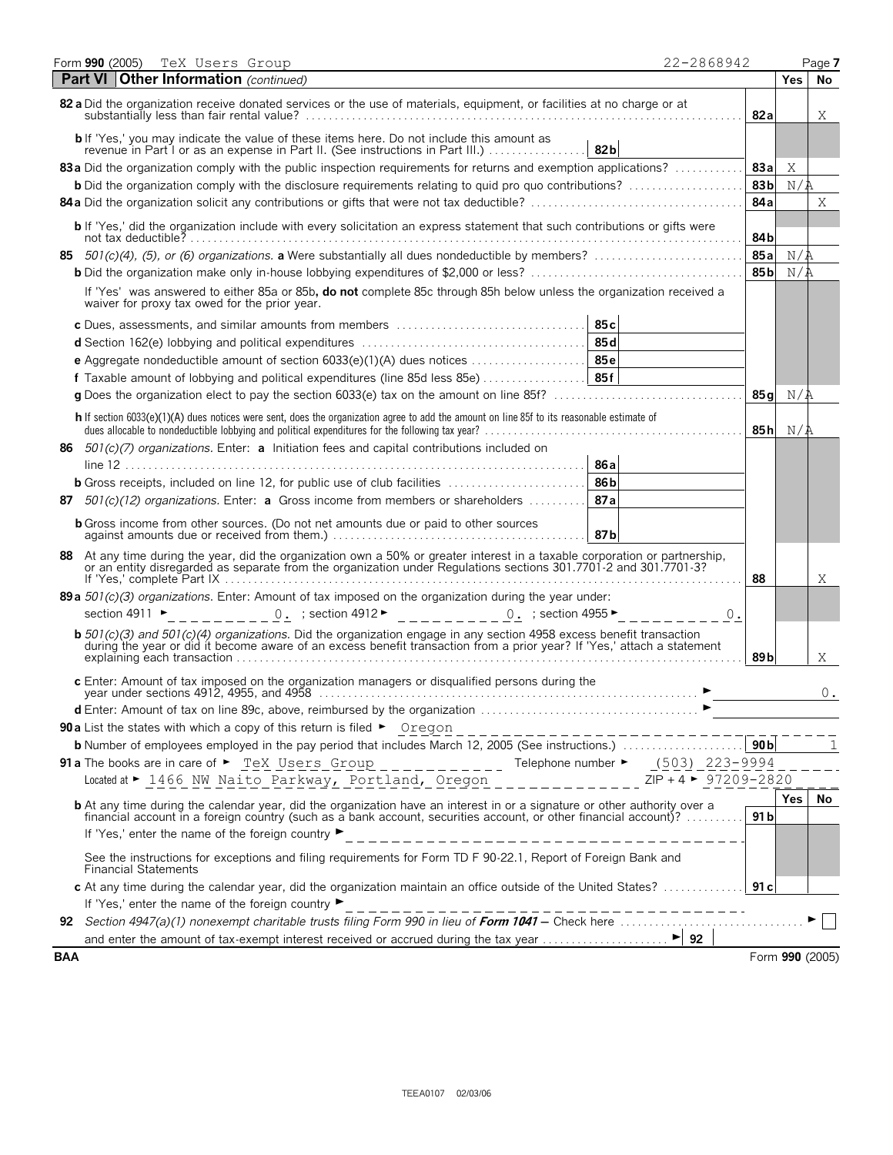|            | Form 990 (2005)<br>TeX Users Group<br>22-2868942                                                                                                                                                                                                                                                                              |                 |            | Page 7          |
|------------|-------------------------------------------------------------------------------------------------------------------------------------------------------------------------------------------------------------------------------------------------------------------------------------------------------------------------------|-----------------|------------|-----------------|
|            | <b>Part VI   Other Information</b> (continued)                                                                                                                                                                                                                                                                                |                 | <b>Yes</b> | No              |
|            | 82 a Did the organization receive donated services or the use of materials, equipment, or facilities at no charge or at                                                                                                                                                                                                       | 82a             |            | Χ               |
|            | <b>b</b> If 'Yes,' you may indicate the value of these items here. Do not include this amount as<br>82b<br>revenue in Part I or as an expense in Part II. (See instructions in Part III.)                                                                                                                                     |                 |            |                 |
|            | 83a Did the organization comply with the public inspection requirements for returns and exemption applications?                                                                                                                                                                                                               | 83a             | Χ          |                 |
|            | <b>b</b> Did the organization comply with the disclosure requirements relating to quid pro quo contributions?                                                                                                                                                                                                                 | 83 <sub>b</sub> | N/A        |                 |
|            |                                                                                                                                                                                                                                                                                                                               | 84a             |            | Χ               |
|            | <b>b</b> If 'Yes,' did the organization include with every solicitation an express statement that such contributions or gifts were                                                                                                                                                                                            | 84b             |            |                 |
|            |                                                                                                                                                                                                                                                                                                                               | 85a             | N/A        |                 |
|            |                                                                                                                                                                                                                                                                                                                               | 85b             | N/A        |                 |
|            | If 'Yes' was answered to either 85a or 85b, do not complete 85c through 85h below unless the organization received a<br>waiver for proxy tax owed for the prior year.                                                                                                                                                         |                 |            |                 |
|            | 85c                                                                                                                                                                                                                                                                                                                           |                 |            |                 |
|            |                                                                                                                                                                                                                                                                                                                               |                 |            |                 |
|            |                                                                                                                                                                                                                                                                                                                               |                 |            |                 |
|            | <b>f</b> Taxable amount of lobbying and political expenditures (line 85d less 85e)  85f                                                                                                                                                                                                                                       |                 |            |                 |
|            |                                                                                                                                                                                                                                                                                                                               | 85q             | N/A        |                 |
|            | h If section 6033(e)(1)(A) dues notices were sent, does the organization agree to add the amount on line 85f to its reasonable estimate of<br>dues allocable to nondeductible lobbying and political expenditures for the following tax year?<br>$\ldots$                                                                     | 85 h            | N/A        |                 |
|            | 86 $501(c)(7)$ organizations. Enter: a Initiation fees and capital contributions included on                                                                                                                                                                                                                                  |                 |            |                 |
|            | 86a                                                                                                                                                                                                                                                                                                                           |                 |            |                 |
|            | <b>b</b> Gross receipts, included on line 12, for public use of club facilities<br>86 b                                                                                                                                                                                                                                       |                 |            |                 |
|            | 87 $501(c)(12)$ organizations. Enter: a Gross income from members or shareholders<br>87a                                                                                                                                                                                                                                      |                 |            |                 |
|            | <b>b</b> Gross income from other sources. (Do not net amounts due or paid to other sources<br>87b                                                                                                                                                                                                                             |                 |            |                 |
|            | 88 At any time during the year, did the organization own a 50% or greater interest in a taxable corporation or partnership,<br>or an entity disregarded as separate from the organization under Regulations sections 301.7701-2 and 301.7701-37                                                                               | 88              |            | Χ               |
|            | 89 a $501(c)(3)$ organizations. Enter: Amount of tax imposed on the organization during the year under:<br><u>0.</u> ; section 4912 ► _ _ _ _ _ _ _ _ _ 0. ; section 4955 ►<br>section 4911 $\blacktriangleright$<br>0.                                                                                                       |                 |            |                 |
|            | <b>b</b> 501(c)(3) and 501(c)(4) organizations. Did the organization engage in any section 4958 excess benefit transaction during the year or did it become aware of an excess benefit transaction from a prior year? If 'Yes,' att                                                                                           | 89 b            |            | Χ               |
|            | c Enter: Amount of tax imposed on the organization managers or disqualified persons during the                                                                                                                                                                                                                                |                 |            | 0.              |
|            | d Enter: Amount of tax on line 89c, above, reimbursed by the organization                                                                                                                                                                                                                                                     |                 |            |                 |
|            | <b>90a</b> List the states with which a copy of this return is filed $\blacktriangleright$ Oregon                                                                                                                                                                                                                             |                 |            |                 |
|            |                                                                                                                                                                                                                                                                                                                               | 90 <sub>b</sub> |            |                 |
|            | 91a The books are in care of $\triangleright$ $\underline{TeX}$ Users Group __________ Telephone number $\triangleright$ $\underline{(503)}$ $\underline{223-9994}$<br>Located at ► 1466 NW Naito Parkway, Portland, Oregon<br>$ZIP + 4$ > 97209-2820                                                                         |                 |            |                 |
|            | <b>b</b> At any time during the calendar year, did the organization have an interest in or a signature or other authority over a financial account in a foreign country (such as a bank account, securities account, or other finan<br>If 'Yes,' enter the name of the foreign country ▶<br>--------------------------------- | 91 <sub>b</sub> | Yes        | No              |
|            | See the instructions for exceptions and filing requirements for Form TD F 90-22.1, Report of Foreign Bank and<br><b>Financial Statements</b>                                                                                                                                                                                  |                 |            |                 |
|            | c At any time during the calendar year, did the organization maintain an office outside of the United States?                                                                                                                                                                                                                 | 91 c            |            |                 |
|            | If 'Yes,' enter the name of the foreign country ▶<br>______________________________                                                                                                                                                                                                                                           |                 |            |                 |
|            |                                                                                                                                                                                                                                                                                                                               |                 |            |                 |
|            |                                                                                                                                                                                                                                                                                                                               |                 |            |                 |
| <b>BAA</b> |                                                                                                                                                                                                                                                                                                                               |                 |            | Form 990 (2005) |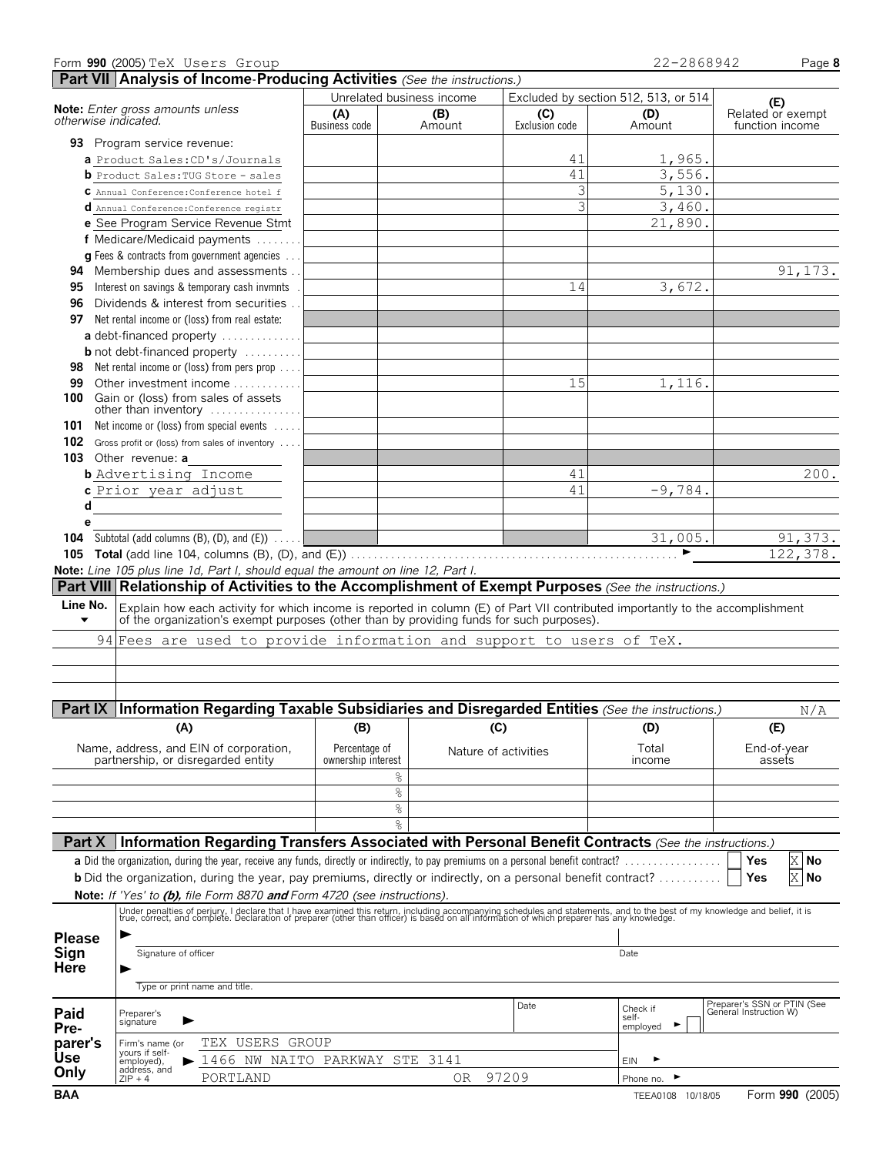|                      | Form 990 (2005) TeX Users Group                          |                                                                                                                                                                                                                                   |                                     |                           |                      |                | 22-2868942                           | Page 8                                                |
|----------------------|----------------------------------------------------------|-----------------------------------------------------------------------------------------------------------------------------------------------------------------------------------------------------------------------------------|-------------------------------------|---------------------------|----------------------|----------------|--------------------------------------|-------------------------------------------------------|
|                      |                                                          | Part VII Analysis of Income-Producing Activities (See the instructions.)                                                                                                                                                          |                                     |                           |                      |                |                                      |                                                       |
|                      |                                                          |                                                                                                                                                                                                                                   |                                     | Unrelated business income |                      |                | Excluded by section 512, 513, or 514 | (E)                                                   |
|                      | Note: Enter gross amounts unless<br>otherwise indicated. |                                                                                                                                                                                                                                   | (A)                                 | (B)                       |                      | (C)            | (D)                                  | Related or exempt                                     |
|                      |                                                          |                                                                                                                                                                                                                                   | Business code                       | Amount                    |                      | Exclusion code | Amount                               | function income                                       |
|                      | 93 Program service revenue:                              |                                                                                                                                                                                                                                   |                                     |                           |                      |                |                                      |                                                       |
|                      | a Product Sales: CD's/Journals                           |                                                                                                                                                                                                                                   |                                     |                           |                      | 41             | 1,965.                               |                                                       |
|                      | <b>b</b> Product Sales: TUG Store - sales                |                                                                                                                                                                                                                                   |                                     |                           |                      | 41             | 3,556.                               |                                                       |
|                      | C Annual Conference: Conference hotel f                  |                                                                                                                                                                                                                                   |                                     |                           |                      | 3              | 5,130.                               |                                                       |
|                      | d Annual Conference: Conference registr                  |                                                                                                                                                                                                                                   |                                     |                           |                      | 3              | 3,460.                               |                                                       |
|                      |                                                          | e See Program Service Revenue Stmt                                                                                                                                                                                                |                                     |                           |                      |                | 21,890.                              |                                                       |
|                      |                                                          | f Medicare/Medicaid payments                                                                                                                                                                                                      |                                     |                           |                      |                |                                      |                                                       |
|                      |                                                          | <b>g</b> Fees & contracts from government agencies                                                                                                                                                                                |                                     |                           |                      |                |                                      |                                                       |
|                      |                                                          | 94 Membership dues and assessments.                                                                                                                                                                                               |                                     |                           |                      |                |                                      | 91,173.                                               |
| 95                   |                                                          | Interest on savings & temporary cash invmnts                                                                                                                                                                                      |                                     |                           |                      | 14             | 3,672.                               |                                                       |
| 96                   |                                                          | Dividends & interest from securities                                                                                                                                                                                              |                                     |                           |                      |                |                                      |                                                       |
|                      | 97 Net rental income or (loss) from real estate:         |                                                                                                                                                                                                                                   |                                     |                           |                      |                |                                      |                                                       |
|                      |                                                          | a debt-financed property                                                                                                                                                                                                          |                                     |                           |                      |                |                                      |                                                       |
|                      |                                                          | <b>b</b> not debt-financed property                                                                                                                                                                                               |                                     |                           |                      |                |                                      |                                                       |
| 98                   |                                                          | Net rental income or (loss) from pers prop                                                                                                                                                                                        |                                     |                           |                      |                |                                      |                                                       |
| 99                   |                                                          | Other investment income                                                                                                                                                                                                           |                                     |                           |                      | 15             | 1,116.                               |                                                       |
| 100                  | Gain or (loss) from sales of assets                      |                                                                                                                                                                                                                                   |                                     |                           |                      |                |                                      |                                                       |
|                      |                                                          | other than inventory                                                                                                                                                                                                              |                                     |                           |                      |                |                                      |                                                       |
| 101                  |                                                          | Net income or (loss) from special events                                                                                                                                                                                          |                                     |                           |                      |                |                                      |                                                       |
|                      |                                                          | 102 Gross profit or (loss) from sales of inventory                                                                                                                                                                                |                                     |                           |                      |                |                                      |                                                       |
|                      | 103 Other revenue: a                                     |                                                                                                                                                                                                                                   |                                     |                           |                      |                |                                      |                                                       |
|                      | <b>b</b> Advertising Income                              |                                                                                                                                                                                                                                   |                                     |                           |                      | 41             |                                      | 200.                                                  |
|                      | c Prior year adjust                                      |                                                                                                                                                                                                                                   |                                     |                           |                      | 41             | $-9,784.$                            |                                                       |
| d                    |                                                          |                                                                                                                                                                                                                                   |                                     |                           |                      |                |                                      |                                                       |
| е                    |                                                          |                                                                                                                                                                                                                                   |                                     |                           |                      |                |                                      |                                                       |
|                      |                                                          | <b>104</b> Subtotal (add columns (B), (D), and $(E)$ ) $\ldots$                                                                                                                                                                   |                                     |                           |                      |                | 31,005.                              | 91,373.                                               |
|                      |                                                          |                                                                                                                                                                                                                                   |                                     |                           |                      |                | ▶                                    | 122, 378.                                             |
|                      |                                                          | Note: Line 105 plus line 1d, Part I, should equal the amount on line 12, Part I.                                                                                                                                                  |                                     |                           |                      |                |                                      |                                                       |
|                      |                                                          | Part VIII Relationship of Activities to the Accomplishment of Exempt Purposes (See the instructions.)                                                                                                                             |                                     |                           |                      |                |                                      |                                                       |
| Line No.             |                                                          | Explain how each activity for which income is reported in column (E) of Part VII contributed importantly to the accomplishment                                                                                                    |                                     |                           |                      |                |                                      |                                                       |
| $\blacktriangledown$ |                                                          | of the organization's exempt purposes (other than by providing funds for such purposes).                                                                                                                                          |                                     |                           |                      |                |                                      |                                                       |
|                      |                                                          | 94 Fees are used to provide information and support to users of TeX.                                                                                                                                                              |                                     |                           |                      |                |                                      |                                                       |
|                      |                                                          |                                                                                                                                                                                                                                   |                                     |                           |                      |                |                                      |                                                       |
|                      |                                                          |                                                                                                                                                                                                                                   |                                     |                           |                      |                |                                      |                                                       |
|                      |                                                          |                                                                                                                                                                                                                                   |                                     |                           |                      |                |                                      |                                                       |
|                      |                                                          | Part IX Information Regarding Taxable Subsidiaries and Disregarded Entities (See the instructions.)                                                                                                                               |                                     |                           |                      |                |                                      | N/A                                                   |
|                      | (A)                                                      |                                                                                                                                                                                                                                   | (B)                                 |                           | (C)                  |                | (D)                                  | (E)                                                   |
|                      |                                                          |                                                                                                                                                                                                                                   |                                     |                           |                      |                |                                      |                                                       |
|                      | partnership, or disregarded entity                       | Name, address, and EIN of corporation,                                                                                                                                                                                            | Percentage of<br>ownership interest |                           | Nature of activities |                | Total<br>income                      | End-of-year<br>assets                                 |
|                      |                                                          |                                                                                                                                                                                                                                   |                                     | %                         |                      |                |                                      |                                                       |
|                      |                                                          |                                                                                                                                                                                                                                   |                                     |                           |                      |                |                                      |                                                       |
|                      |                                                          |                                                                                                                                                                                                                                   |                                     | $\%$<br>နွ                |                      |                |                                      |                                                       |
|                      |                                                          |                                                                                                                                                                                                                                   |                                     | $\frac{6}{10}$            |                      |                |                                      |                                                       |
|                      |                                                          |                                                                                                                                                                                                                                   |                                     |                           |                      |                |                                      |                                                       |
| Part X               |                                                          | Information Regarding Transfers Associated with Personal Benefit Contracts (See the instructions.)                                                                                                                                |                                     |                           |                      |                |                                      |                                                       |
|                      |                                                          | a Did the organization, during the year, receive any funds, directly or indirectly, to pay premiums on a personal benefit contract?                                                                                               |                                     |                           |                      |                |                                      | X No<br>Yes                                           |
|                      |                                                          | <b>b</b> Did the organization, during the year, pay premiums, directly or indirectly, on a personal benefit contract?                                                                                                             |                                     |                           |                      |                |                                      | $\mathbf X$<br>No<br>Yes                              |
|                      |                                                          | <b>Note:</b> If 'Yes' to (b), file Form 8870 and Form 4720 (see instructions).                                                                                                                                                    |                                     |                           |                      |                |                                      |                                                       |
|                      |                                                          | Under penalties of perjury, I declare that I have examined this return, including accompanying schedules and statements, and to the best of my knowledge and belief, it is<br>true, correct, and complete. Declaration of prepare |                                     |                           |                      |                |                                      |                                                       |
|                      |                                                          |                                                                                                                                                                                                                                   |                                     |                           |                      |                |                                      |                                                       |
| <b>Please</b>        |                                                          |                                                                                                                                                                                                                                   |                                     |                           |                      |                |                                      |                                                       |
| Sign<br><b>Here</b>  | Signature of officer                                     |                                                                                                                                                                                                                                   |                                     |                           |                      |                | Date                                 |                                                       |
|                      |                                                          |                                                                                                                                                                                                                                   |                                     |                           |                      |                |                                      |                                                       |
|                      | Type or print name and title.                            |                                                                                                                                                                                                                                   |                                     |                           |                      |                |                                      |                                                       |
|                      | Preparer's                                               |                                                                                                                                                                                                                                   |                                     |                           |                      | Date           | Check if                             | Preparer's SSN or PTIN (See<br>General Instruction W) |
| Paid<br>Pre-         | signature                                                |                                                                                                                                                                                                                                   |                                     |                           |                      |                | self-<br>employed                    |                                                       |
| parer's              | Firm's name (or                                          | TEX USERS GROUP                                                                                                                                                                                                                   |                                     |                           |                      |                |                                      |                                                       |
| Use                  | yours if self-<br>employed),                             | 1466 NW NAITO PARKWAY STE                                                                                                                                                                                                         |                                     | 3141                      |                      |                | EIN                                  |                                                       |
| Only                 | address, and                                             |                                                                                                                                                                                                                                   |                                     |                           |                      |                |                                      |                                                       |
|                      | $ZIP + 4$                                                | PORTLAND                                                                                                                                                                                                                          |                                     |                           | 97209<br>0R          |                | Phone no.                            |                                                       |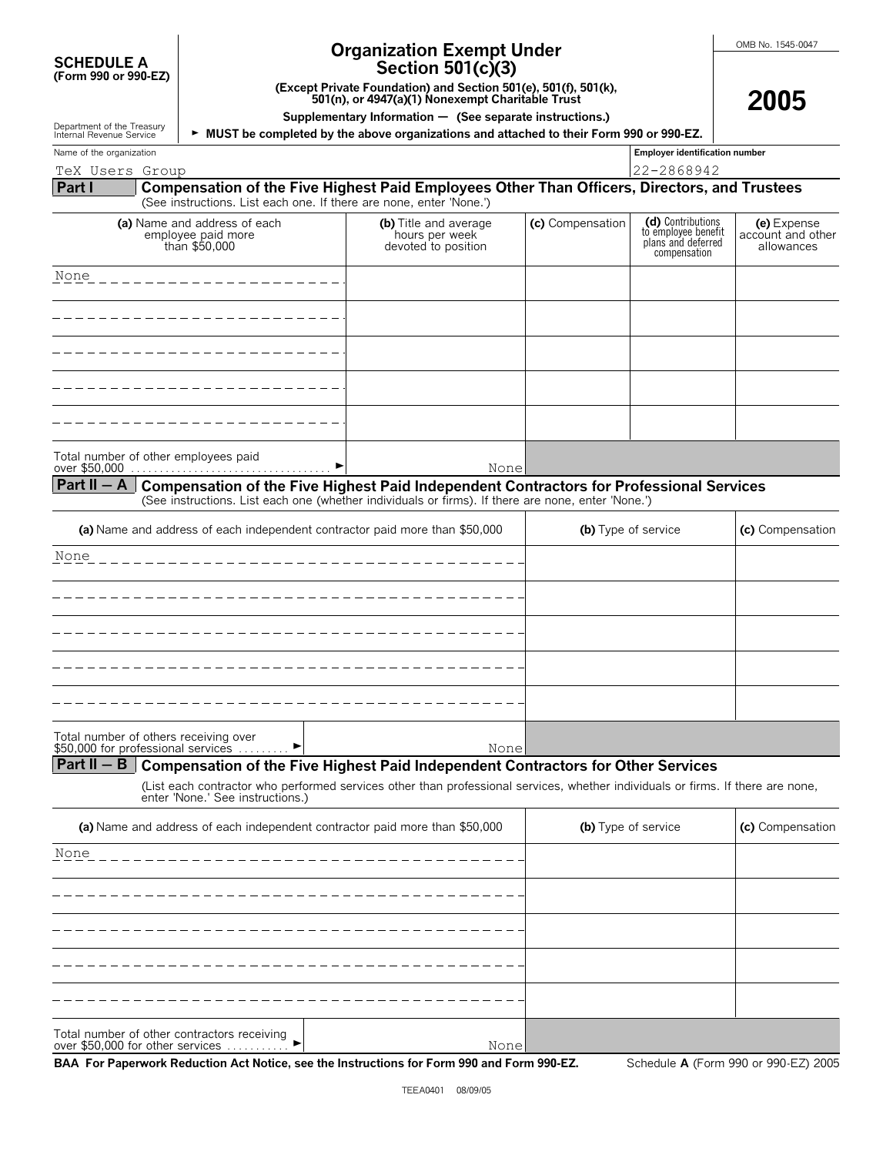| <b>SCHEDULE A</b>    |  |
|----------------------|--|
| (Form 990 or 990-EZ) |  |

Department of the Treasury<br>Internal Revenue Service

# **Organization Exempt Under**

**2005**

| Section 501(c)(3) |  |  |  |  |
|-------------------|--|--|--|--|
|-------------------|--|--|--|--|

**(Except Private Foundation) and Section 501(e), 501(f), 501(k),**

**501(n), or 4947(a)(1) Nonexempt Charitable Trust**

**Supplementary Information** ' **(See separate instructions.)**

**MUST be completed by the above organizations and attached to their Form 990 or 990-EZ.** 

| Name of the organization | <b>Employer identificati</b>                       |
|--------------------------|----------------------------------------------------|
| TeX<br>Group<br>Users    | 868942:<br>$\overline{\phantom{0}}$<br>ے ت<br>20 U |

**Employer identification number** 

#### **Part I Compensation of the Five Highest Paid Employees Other Than Officers, Directors, and Trustees** (See instructions. List each one. If there are none, enter 'None.')

| (a) Name and address of each<br>employee paid more<br>than \$50,000 | (b) Title and average<br>hours per week<br>devoted to position | (c) Compensation | (d) Contributions<br>to employee benefit<br>plans and deferred<br>compensation | (e) Expense<br>account and other<br>allowances |
|---------------------------------------------------------------------|----------------------------------------------------------------|------------------|--------------------------------------------------------------------------------|------------------------------------------------|
| None                                                                |                                                                |                  |                                                                                |                                                |
|                                                                     |                                                                |                  |                                                                                |                                                |
|                                                                     |                                                                |                  |                                                                                |                                                |
|                                                                     |                                                                |                  |                                                                                |                                                |
|                                                                     |                                                                |                  |                                                                                |                                                |
| Total number of other employees paid<br>over \$50,000               | None                                                           |                  |                                                                                |                                                |

#### **Part II**  - A Compensation of the Five Highest Paid Independent Contractors for Professional Services (See instructions. List each one (whether individuals or firms). If there are none, enter 'None.')

| (a) Name and address of each independent contractor paid more than \$50,000                                   | (b) Type of service | (c) Compensation |
|---------------------------------------------------------------------------------------------------------------|---------------------|------------------|
| None                                                                                                          |                     |                  |
|                                                                                                               |                     |                  |
|                                                                                                               |                     |                  |
|                                                                                                               |                     |                  |
|                                                                                                               |                     |                  |
| Total number of others receiving over<br>\$50,000 for professional services<br>$\blacktriangleright$<br>Nonel |                     |                  |

# **Part II – B** | Compensation of the Five Highest Paid Independent Contractors for Other Services

(List each contractor who performed services other than professional services, whether individuals or firms. If there are none, enter 'None.' See instructions.)

| (a) Name and address of each independent contractor paid more than \$50,000              | (b) Type of service | (c) Compensation |
|------------------------------------------------------------------------------------------|---------------------|------------------|
| None                                                                                     |                     |                  |
|                                                                                          |                     |                  |
|                                                                                          |                     |                  |
|                                                                                          |                     |                  |
|                                                                                          |                     |                  |
| Total number of other contractors receiving<br>over \$50,000 for other services<br>Nonel |                     |                  |

**BAA For Paperwork Reduction Act Notice, see the Instructions for Form 990 and Form 990-EZ.** Schedule **A** (Form 990 or 990-EZ) 2005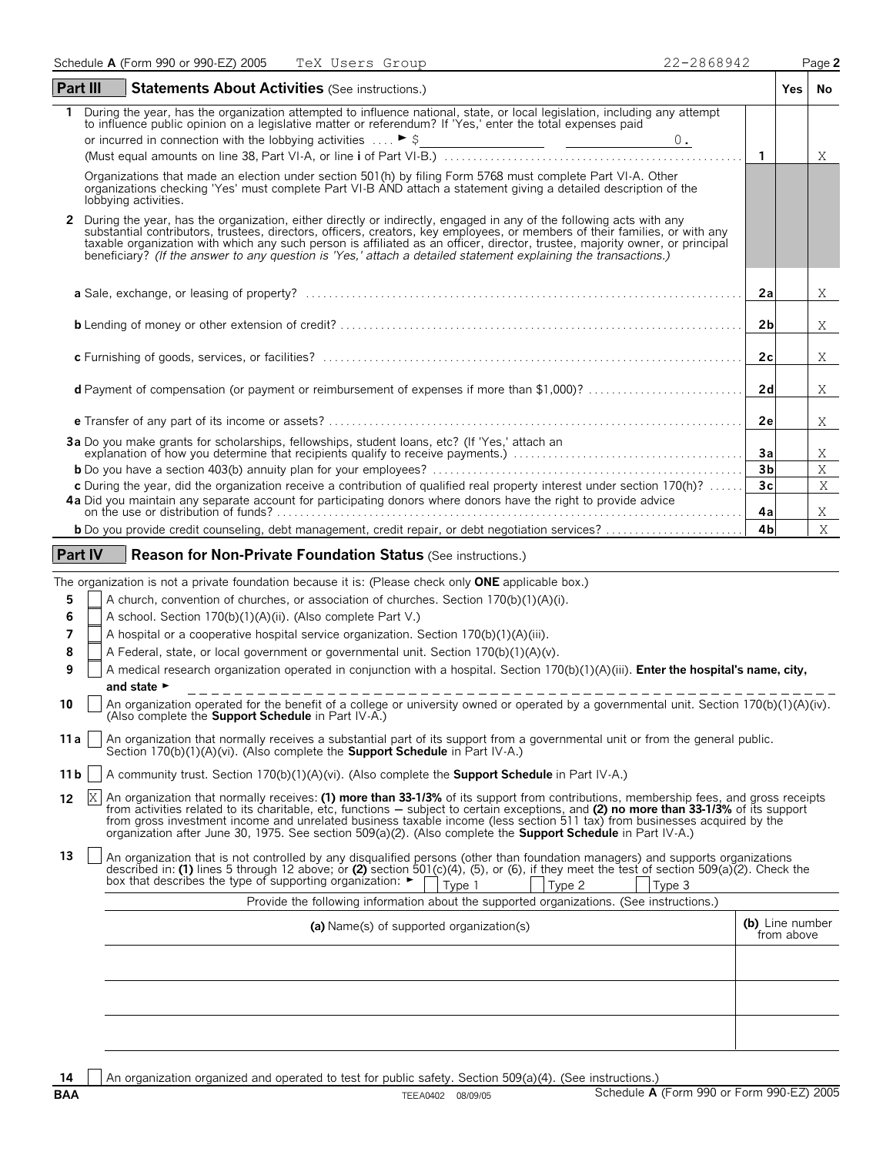| Part III<br><b>Statements About Activities (See instructions.)</b>                                                                                                                                                                                                                                                                                                                                                                                                                                                    |                | <b>Yes</b> | <b>No</b>    |
|-----------------------------------------------------------------------------------------------------------------------------------------------------------------------------------------------------------------------------------------------------------------------------------------------------------------------------------------------------------------------------------------------------------------------------------------------------------------------------------------------------------------------|----------------|------------|--------------|
| During the year, has the organization attempted to influence national, state, or local legislation, including any attempt<br>to influence public opinion on a legislative matter or referendum? If 'Yes,' enter the total expenses paid                                                                                                                                                                                                                                                                               | $\overline{1}$ |            | X            |
| Organizations that made an election under section 501(h) by filing Form 5768 must complete Part VI-A. Other                                                                                                                                                                                                                                                                                                                                                                                                           |                |            |              |
| organizations checking 'Yes' must complete Part VI-B AND attach a statement giving a detailed description of the<br>lobbying activities.                                                                                                                                                                                                                                                                                                                                                                              |                |            |              |
| During the year, has the organization, either directly or indirectly, engaged in any of the following acts with any<br>$\mathbf{2}$<br>substantial contributors, trustees, directors, officers, creators, key employees, or members of their families, or with any<br>taxable organization with which any such person is affiliated as an officer, director, trustee, majority owner, or principal<br>beneficiary? (If the answer to any question is 'Yes,' attach a detailed statement explaining the transactions.) |                |            |              |
|                                                                                                                                                                                                                                                                                                                                                                                                                                                                                                                       | 2a             |            | X            |
|                                                                                                                                                                                                                                                                                                                                                                                                                                                                                                                       | 2 <sub>b</sub> |            | X            |
|                                                                                                                                                                                                                                                                                                                                                                                                                                                                                                                       | 2c             |            | X            |
| <b>d</b> Payment of compensation (or payment or reimbursement of expenses if more than \$1,000)?                                                                                                                                                                                                                                                                                                                                                                                                                      | 2d             |            | X            |
|                                                                                                                                                                                                                                                                                                                                                                                                                                                                                                                       | 2e             |            | Χ            |
| 3a Do you make grants for scholarships, fellowships, student loans, etc? (If 'Yes,' attach an                                                                                                                                                                                                                                                                                                                                                                                                                         | 3a             |            | Χ            |
|                                                                                                                                                                                                                                                                                                                                                                                                                                                                                                                       | 3 <sub>b</sub> |            | X            |
| c During the year, did the organization receive a contribution of qualified real property interest under section 170(h)?                                                                                                                                                                                                                                                                                                                                                                                              | 3 <sub>c</sub> |            | $\mathbf{X}$ |
| 4a Did you maintain any separate account for participating donors where donors have the right to provide advice                                                                                                                                                                                                                                                                                                                                                                                                       | 4a             |            | Χ            |
|                                                                                                                                                                                                                                                                                                                                                                                                                                                                                                                       | 4 <sub>b</sub> |            | X            |
| <b>Part IV</b><br><b>Reason for Non-Private Foundation Status (See instructions.)</b><br>The organization is not a private foundation because it is: (Please check only <b>ONE</b> applicable box.)                                                                                                                                                                                                                                                                                                                   |                |            |              |

- **5** A church, convention of churches, or association of churches. Section 170(b)(1)(A)(i).
- **6** A school. Section 170(b)(1)(A)(ii). (Also complete Part V.)
- **7** A hospital or a cooperative hospital service organization. Section 170(b)(1)(A)(iii).
- **8** A Federal, state, or local government or governmental unit. Section 170(b)(1)(A)(v).
- **9** A medical research organization operated in conjunction with a hospital. Section 170(b)(1)(A)(iii). **Enter the hospital's name, city,** and state ►
- **10** An organization operated for the benefit of a college or university owned or operated by a governmental unit. Section 170(b)(1)(A)(iv). (Also complete the **Support Schedule** in Part IV-A.)
- **11a** | An organization that normally receives a substantial part of its support from a governmental unit or from the general public. Section 170(b)(1)(A)(vi). (Also complete the **Support Schedule** in Part IV-A.)
- **11b**  $\vert$  A community trust. Section 170(b)(1)(A)(vi). (Also complete the **Support Schedule** in Part IV-A.)
- 12 X An organization that normally receives: (1) more than 33-1/3% of its support from contributions, membership fees, and gross receipts from activities related to its charitable, etc, functions — subject to certain exceptions, and **(2) no more than 33-1/3%** of its support<br>from gross investment income and unrelated business taxable income (less section 511
- An organization that is not controlled by any disqualified persons (other than foundation managers) and supports organizations described in: (1) lines 5 through 12 above; or (2) section 501(c)(4), (5), or (6), if they meet box that describes the type of supporting organization:  $\blacktriangleright$ Type 1 | Type 2 | Type 3

| Provide the following information about the supported organizations. (See instructions.)<br>(a) Name(s) of supported organization(s) |  |  |  |  |
|--------------------------------------------------------------------------------------------------------------------------------------|--|--|--|--|
|                                                                                                                                      |  |  |  |  |
|                                                                                                                                      |  |  |  |  |
|                                                                                                                                      |  |  |  |  |

**14** An organization organized and operated to test for public safety. Section 509(a)(4). (See instructions.)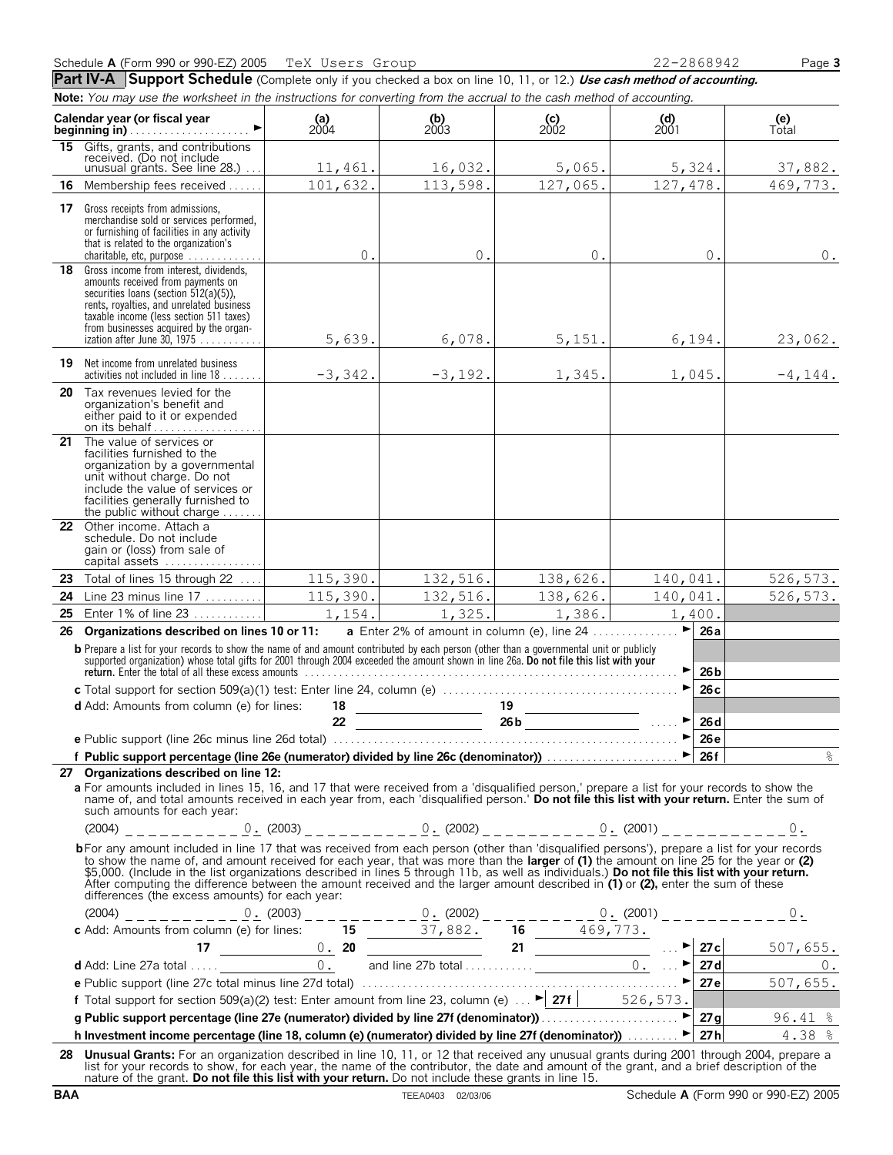Part IV-A Support Schedule (Complete only if you checked a box on line 10, 11, or 12.) Use cash method of accounting. **Note:** *You may use the worksheet in the instructions for converting from the accrual to the cash method of accounting.*

| Calendar year (or fiscal year<br>beginning in) |                                                                                                                                                                                                                                                                                                                                                                                                                                                                                                                                                                                                                                | (a)<br>$2004$ | $\begin{array}{c} \textbf{(b)} \\ 2003 \end{array}$ | $\begin{array}{c} \textbf{(c)} \\ 2002 \end{array}$  | $\begin{array}{c} \text{(d)} \\ 2001 \end{array}$ | (e)<br>Total |
|------------------------------------------------|--------------------------------------------------------------------------------------------------------------------------------------------------------------------------------------------------------------------------------------------------------------------------------------------------------------------------------------------------------------------------------------------------------------------------------------------------------------------------------------------------------------------------------------------------------------------------------------------------------------------------------|---------------|-----------------------------------------------------|------------------------------------------------------|---------------------------------------------------|--------------|
| 15                                             | Gifts, grants, and contributions<br>received. (Do not include<br>unusual grants. See line 28.)                                                                                                                                                                                                                                                                                                                                                                                                                                                                                                                                 | 11,461.       | 16,032.                                             | 5,065.                                               | 5,324.                                            | 37,882.      |
| 16                                             | Membership fees received                                                                                                                                                                                                                                                                                                                                                                                                                                                                                                                                                                                                       | 101,632.      | 113,598.                                            | 127,065.                                             | 127,478.                                          | 469,773.     |
|                                                | 17 Gross receipts from admissions,<br>merchandise sold or services performed,<br>or furnishing of facilities in any activity<br>that is related to the organization's                                                                                                                                                                                                                                                                                                                                                                                                                                                          |               |                                                     |                                                      |                                                   |              |
| 18                                             | charitable, etc. purpose $\ldots \ldots \ldots$<br>Gross income from interest, dividends,<br>amounts received from payments on<br>securities loans (section 512(a)(5)),<br>rents, royalties, and unrelated business<br>taxable income (less section 511 taxes)<br>from businesses acquired by the organ-                                                                                                                                                                                                                                                                                                                       | $0$ .         | 0.                                                  | $0$ .                                                | 0.                                                | $0$ .        |
| 19                                             | ization after June 30, 1975<br>Net income from unrelated business                                                                                                                                                                                                                                                                                                                                                                                                                                                                                                                                                              | 5,639.        | 6,078.                                              | 5,151.                                               | 6,194.                                            | 23,062.      |
|                                                | activities not included in line $18$                                                                                                                                                                                                                                                                                                                                                                                                                                                                                                                                                                                           | $-3,342.$     | $-3,192.$                                           | 1,345.                                               | 1,045.                                            | $-4, 144.$   |
|                                                | 20 Tax revenues levied for the<br>organization's benefit and<br>either paid to it or expended<br>on its behalf                                                                                                                                                                                                                                                                                                                                                                                                                                                                                                                 |               |                                                     |                                                      |                                                   |              |
| 21                                             | The value of services or<br>facilities furnished to the<br>organization by a governmental<br>unit without charge. Do not<br>include the value of services or<br>facilities generally furnished to<br>the public without charge $\dots$                                                                                                                                                                                                                                                                                                                                                                                         |               |                                                     |                                                      |                                                   |              |
|                                                | 22 Other income. Attach a<br>schedule. Do not include<br>gain or (loss) from sale of<br>capital assets                                                                                                                                                                                                                                                                                                                                                                                                                                                                                                                         |               |                                                     |                                                      |                                                   |              |
|                                                | 23 Total of lines 15 through 22                                                                                                                                                                                                                                                                                                                                                                                                                                                                                                                                                                                                | 115,390.      | 132,516.                                            | 138,626.                                             | 140,041.                                          | 526, 573.    |
| 24                                             | Line 23 minus line $17$                                                                                                                                                                                                                                                                                                                                                                                                                                                                                                                                                                                                        | 115,390.      | 132,516.                                            | 138,626.                                             | 140,041.                                          | 526, 573.    |
| 25                                             | Enter 1% of line 23                                                                                                                                                                                                                                                                                                                                                                                                                                                                                                                                                                                                            | 1,154.        | 1,325.                                              | 1,386.                                               | 1,400.                                            |              |
| 26                                             | Organizations described on lines 10 or 11:<br><b>b</b> Prepare a list for your records to show the name of and amount contributed by each person (other than a governmental unit or publicly supported organization) whose total gifts for 2001 through 2004 exceeded the amount                                                                                                                                                                                                                                                                                                                                               |               |                                                     | <b>a</b> Enter 2% of amount in column (e), line $24$ | ►<br>26a<br>26 <sub>b</sub>                       |              |
|                                                |                                                                                                                                                                                                                                                                                                                                                                                                                                                                                                                                                                                                                                |               |                                                     |                                                      | 26c                                               |              |
|                                                | <b>d</b> Add: Amounts from column (e) for lines:                                                                                                                                                                                                                                                                                                                                                                                                                                                                                                                                                                               | 18            |                                                     |                                                      |                                                   |              |
|                                                |                                                                                                                                                                                                                                                                                                                                                                                                                                                                                                                                                                                                                                | 22            |                                                     |                                                      | 26d<br>▶                                          |              |
|                                                | f Public support percentage (line 26e (numerator) divided by line 26c (denominator)) $\Box$ $\Box$ $\Box$ $\Box$ 26f                                                                                                                                                                                                                                                                                                                                                                                                                                                                                                           |               |                                                     |                                                      | 26e                                               | $\approx$    |
|                                                | 27 Organizations described on line 12:<br>a For amounts included in lines 15, 16, and 17 that were received from a 'disqualified person,' prepare a list for your records to show the<br>name of, and total amounts received in each year from, each 'disqualified person.' Do not file this list with your return. Enter the sum of<br>such amounts for each year:                                                                                                                                                                                                                                                            |               |                                                     |                                                      |                                                   |              |
|                                                | bFor any amount included in line 17 that was received from each person (other than 'disqualified persons'), prepare a list for your records<br>to show the name of, and amount received for each year, that was more than the larger of (1) the amount on line 25 for the year or (2)<br>\$5,000. (Include in the list organizations described in lines 5 through 11b, as well as individuals.) Do not file this list with your return.<br>After computing the difference between the amount received and the larger amount described in (1) or (2), enter the sum of these<br>differences (the excess amounts) for each year: |               |                                                     |                                                      |                                                   |              |
|                                                |                                                                                                                                                                                                                                                                                                                                                                                                                                                                                                                                                                                                                                |               |                                                     |                                                      |                                                   |              |
|                                                |                                                                                                                                                                                                                                                                                                                                                                                                                                                                                                                                                                                                                                |               |                                                     |                                                      |                                                   |              |
|                                                |                                                                                                                                                                                                                                                                                                                                                                                                                                                                                                                                                                                                                                |               |                                                     |                                                      |                                                   |              |
|                                                |                                                                                                                                                                                                                                                                                                                                                                                                                                                                                                                                                                                                                                |               |                                                     |                                                      |                                                   |              |
|                                                |                                                                                                                                                                                                                                                                                                                                                                                                                                                                                                                                                                                                                                |               |                                                     |                                                      |                                                   |              |
|                                                |                                                                                                                                                                                                                                                                                                                                                                                                                                                                                                                                                                                                                                |               |                                                     |                                                      |                                                   |              |
|                                                | h Investment income percentage (line 18, column (e) (numerator) divided by line 27f (denominator))  > 27h 27h 4.38 %                                                                                                                                                                                                                                                                                                                                                                                                                                                                                                           |               |                                                     |                                                      |                                                   |              |
|                                                | 28 Unusual Grants: For an organization described in line 10, 11, or 12 that received any unusual grants during 2001 through 2004, prepare a                                                                                                                                                                                                                                                                                                                                                                                                                                                                                    |               |                                                     |                                                      |                                                   |              |
|                                                | list for your records to show, for each year, the name of the contributor, the date and amount of the grant, and a brief description of the                                                                                                                                                                                                                                                                                                                                                                                                                                                                                    |               |                                                     |                                                      |                                                   |              |

list for your records to show, for each year, the name of the contributor, the date and amount of the grant, and a brief description of the<br>nature of the grant. **Do not file this list with your return.** Do not include thes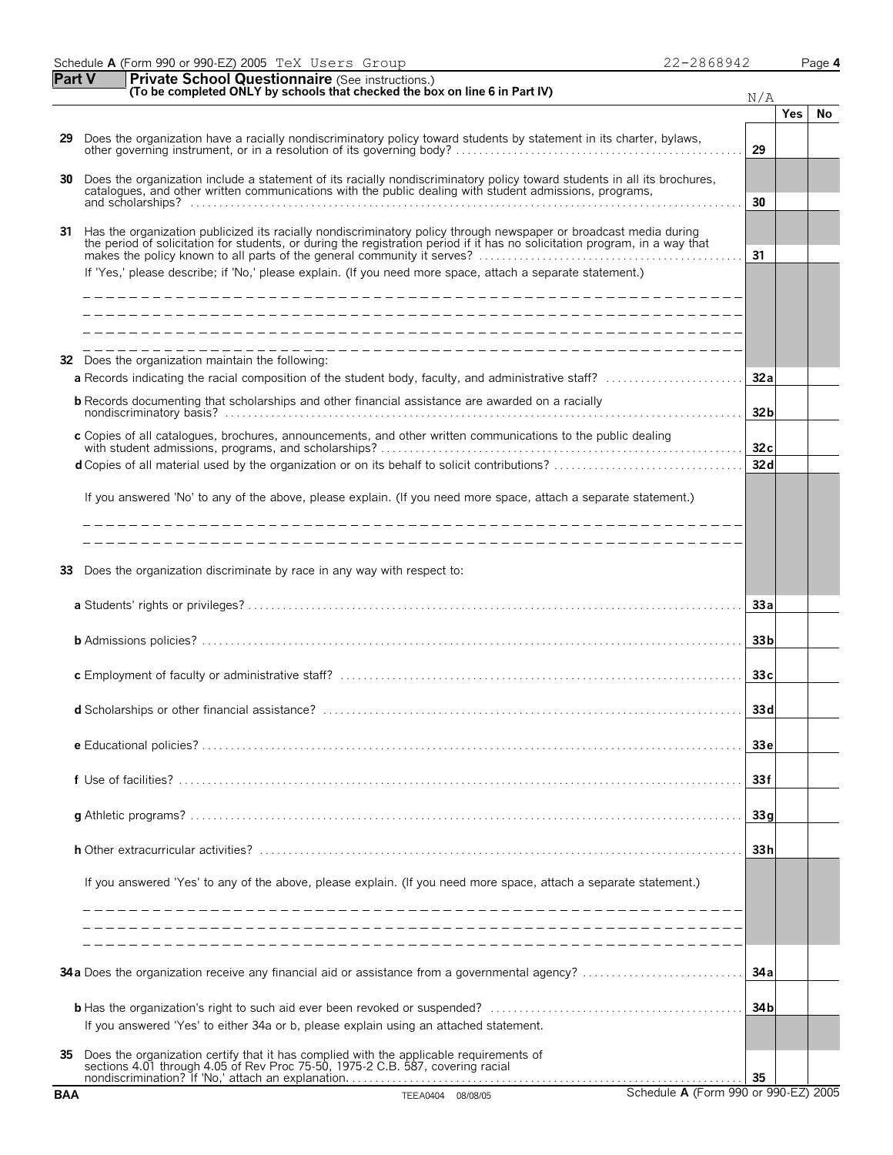| 990 or 990-EZ)<br>2005<br>TeX Users<br>Schedule<br>A (Form<br>,8941<br>∠ הר<br>Group<br>C) 1 1 1 | Page <b>4</b> |
|--------------------------------------------------------------------------------------------------|---------------|
|--------------------------------------------------------------------------------------------------|---------------|

|  | $-2868942$ | Pa |
|--|------------|----|
|  |            |    |

| <b>Part V</b> | <b>Private School Questionnaire (See instructions.)</b><br>(To be completed ONLY by schools that checked the box on line 6 in Part IV)                                                                                                                                                                                                                                                                                                    | N/A             |            |    |
|---------------|-------------------------------------------------------------------------------------------------------------------------------------------------------------------------------------------------------------------------------------------------------------------------------------------------------------------------------------------------------------------------------------------------------------------------------------------|-----------------|------------|----|
|               |                                                                                                                                                                                                                                                                                                                                                                                                                                           |                 | <b>Yes</b> | No |
| 29            | Does the organization have a racially nondiscriminatory policy toward students by statement in its charter, bylaws,<br>other governing instrument, or in a resolution of its governing body?                                                                                                                                                                                                                                              | 29              |            |    |
| 30            | Does the organization include a statement of its racially nondiscriminatory policy toward students in all its brochures, catalogues, and other written communications with the public dealing with student admissions, program                                                                                                                                                                                                            | 30              |            |    |
| 31            | Has the organization publicized its racially nondiscriminatory policy through newspaper or broadcast media during<br>the period of solicitation for students, or during the registration period if it has no solicitation program, in a way that<br>makes the policy known to all parts of the general community it serves?<br>If 'Yes,' please describe; if 'No,' please explain. (If you need more space, attach a separate statement.) | 31              |            |    |
|               |                                                                                                                                                                                                                                                                                                                                                                                                                                           |                 |            |    |
|               |                                                                                                                                                                                                                                                                                                                                                                                                                                           |                 |            |    |
| 32            | Does the organization maintain the following:                                                                                                                                                                                                                                                                                                                                                                                             |                 |            |    |
|               | a Records indicating the racial composition of the student body, faculty, and administrative staff?                                                                                                                                                                                                                                                                                                                                       | 32a             |            |    |
|               | <b>b</b> Records documenting that scholarships and other financial assistance are awarded on a racially                                                                                                                                                                                                                                                                                                                                   | 32 <sub>b</sub> |            |    |
|               | c Copies of all catalogues, brochures, announcements, and other written communications to the public dealing                                                                                                                                                                                                                                                                                                                              | 32c             |            |    |
|               |                                                                                                                                                                                                                                                                                                                                                                                                                                           | 32d             |            |    |
|               | If you answered 'No' to any of the above, please explain. (If you need more space, attach a separate statement.)                                                                                                                                                                                                                                                                                                                          |                 |            |    |
|               | _____________________________                                                                                                                                                                                                                                                                                                                                                                                                             |                 |            |    |
|               |                                                                                                                                                                                                                                                                                                                                                                                                                                           |                 |            |    |
| 33            | Does the organization discriminate by race in any way with respect to:                                                                                                                                                                                                                                                                                                                                                                    |                 |            |    |
|               |                                                                                                                                                                                                                                                                                                                                                                                                                                           | 33a             |            |    |
|               |                                                                                                                                                                                                                                                                                                                                                                                                                                           | 33 <sub>b</sub> |            |    |
|               |                                                                                                                                                                                                                                                                                                                                                                                                                                           | 33c             |            |    |
|               |                                                                                                                                                                                                                                                                                                                                                                                                                                           | 33d             |            |    |
|               |                                                                                                                                                                                                                                                                                                                                                                                                                                           | 33 e            |            |    |
|               |                                                                                                                                                                                                                                                                                                                                                                                                                                           | 33f             |            |    |
|               |                                                                                                                                                                                                                                                                                                                                                                                                                                           | 33q             |            |    |
|               |                                                                                                                                                                                                                                                                                                                                                                                                                                           | 33h             |            |    |
|               | If you answered 'Yes' to any of the above, please explain. (If you need more space, attach a separate statement.)                                                                                                                                                                                                                                                                                                                         |                 |            |    |
|               |                                                                                                                                                                                                                                                                                                                                                                                                                                           |                 |            |    |
|               |                                                                                                                                                                                                                                                                                                                                                                                                                                           |                 |            |    |
|               | 34a Does the organization receive any financial aid or assistance from a governmental agency?                                                                                                                                                                                                                                                                                                                                             | 34 a            |            |    |
|               | If you answered 'Yes' to either 34a or b, please explain using an attached statement.                                                                                                                                                                                                                                                                                                                                                     | 34 <sub>b</sub> |            |    |
| 35            | Does the organization certify that it has complied with the applicable requirements of sections 4.01 through 4.05 of Rev Proc 75-50, 1975-2 C.B. 587, covering racial                                                                                                                                                                                                                                                                     | 35              |            |    |
| <b>BAA</b>    | Schedule A (Form 990 or 990-EZ) 2005<br>TEEA0404 08/08/05                                                                                                                                                                                                                                                                                                                                                                                 |                 |            |    |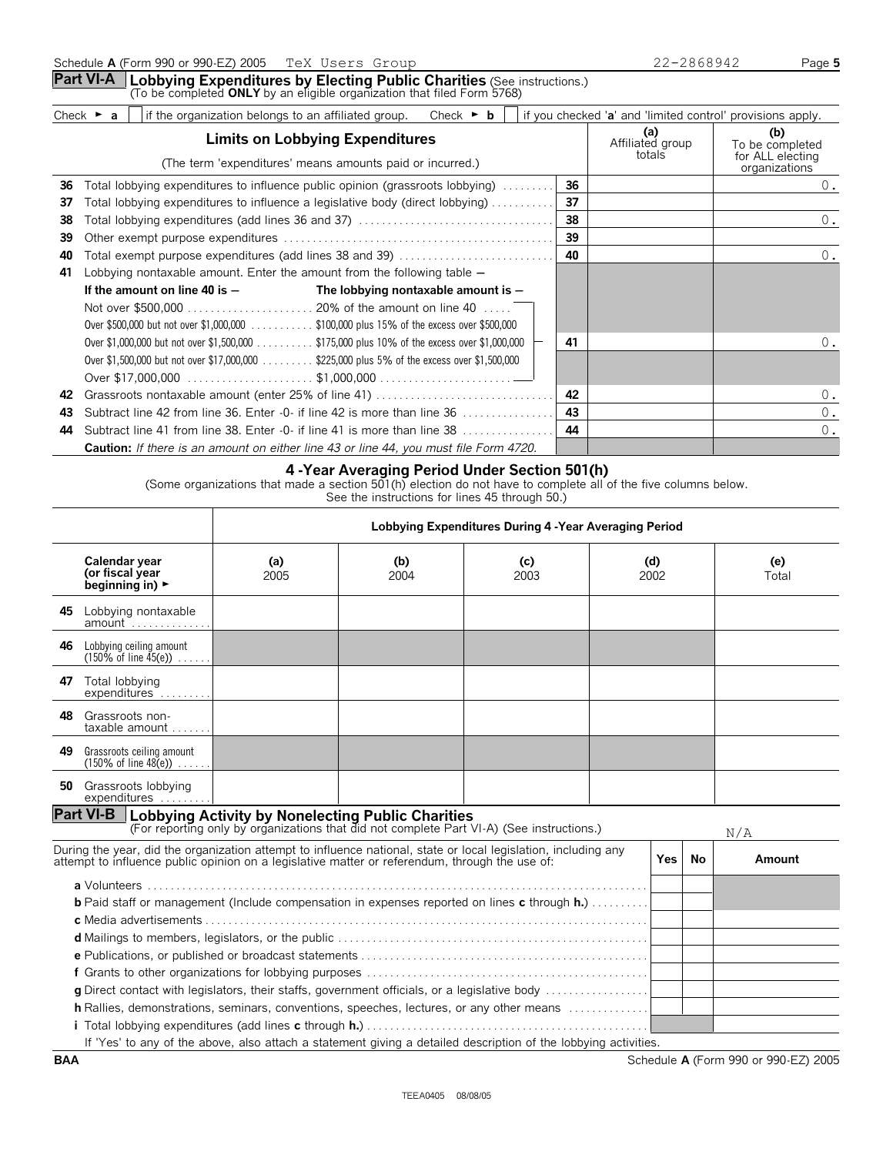|    | Check $\triangleright$ a | if the organization belongs to an affiliated group.                                         |                                                                                                     | Check $\triangleright$ <b>b</b> |    | if you checked 'a' and 'limited control' provisions apply. |                                                             |
|----|--------------------------|---------------------------------------------------------------------------------------------|-----------------------------------------------------------------------------------------------------|---------------------------------|----|------------------------------------------------------------|-------------------------------------------------------------|
|    |                          |                                                                                             | <b>Limits on Lobbying Expenditures</b><br>(The term 'expenditures' means amounts paid or incurred.) |                                 |    | (a)<br>Affiliated group<br>totals                          | (b)<br>To be completed<br>for ALL electing<br>organizations |
| 36 |                          | Total lobbying expenditures to influence public opinion (grassroots lobbying)               |                                                                                                     |                                 | 36 |                                                            | 0.                                                          |
| 37 |                          | Total lobbying expenditures to influence a legislative body (direct lobbying)               |                                                                                                     |                                 | 37 |                                                            |                                                             |
| 38 |                          |                                                                                             |                                                                                                     |                                 | 38 |                                                            | 0.                                                          |
| 39 |                          |                                                                                             |                                                                                                     |                                 | 39 |                                                            |                                                             |
| 40 |                          | Total exempt purpose expenditures (add lines 38 and 39)                                     |                                                                                                     |                                 | 40 |                                                            | 0.                                                          |
| 41 |                          | Lobbying nontaxable amount. Enter the amount from the following table $-$                   |                                                                                                     |                                 |    |                                                            |                                                             |
|    |                          | If the amount on line 40 is $-$                                                             | The lobbying nontaxable amount is $-$                                                               |                                 |    |                                                            |                                                             |
|    |                          |                                                                                             |                                                                                                     |                                 |    |                                                            |                                                             |
|    |                          | Over \$500,000 but not over \$1,000,000 \$100,000 plus 15% of the excess over \$500,000     |                                                                                                     |                                 |    |                                                            |                                                             |
|    |                          | Over \$1,000,000 but not over \$1,500,000 \$175,000 plus 10% of the excess over \$1,000,000 |                                                                                                     |                                 | 41 |                                                            | 0.                                                          |
|    |                          | Over \$1,500,000 but not over \$17,000,000                                                  | \$225,000 plus 5% of the excess over \$1,500,000                                                    |                                 |    |                                                            |                                                             |

| UVEL \$1,000,000 DULTIUL UVEL \$17,000,000  \$220,000 DIUS J 70 ULTIE EXCESS UVEL \$1,000,000 |     |  |
|-----------------------------------------------------------------------------------------------|-----|--|
|                                                                                               |     |  |
|                                                                                               |     |  |
|                                                                                               |     |  |
| <b>44</b> Subtract line 41 from line 38. Enter -0- if line 41 is more than line 38            | -44 |  |
| <b>Caution:</b> If there is an amount on either line 43 or line 44, you must file Form 4720.  |     |  |

#### **4 -Year Averaging Period Under Section 501(h)**

(Some organizations that made a section  $501(h)$  election do not have to complete all of the five columns below.

See the instructions for lines 45 through 50.)

|                                                                         | Lobbying Expenditures During 4 - Year Averaging Period |             |             |                                                                                                                                                                      |                                                                                                                                                                                                                                                                                                                                                                                                                       |                                                                                                                                                                                                                              |        |
|-------------------------------------------------------------------------|--------------------------------------------------------|-------------|-------------|----------------------------------------------------------------------------------------------------------------------------------------------------------------------|-----------------------------------------------------------------------------------------------------------------------------------------------------------------------------------------------------------------------------------------------------------------------------------------------------------------------------------------------------------------------------------------------------------------------|------------------------------------------------------------------------------------------------------------------------------------------------------------------------------------------------------------------------------|--------|
| Calendar year<br>(or fiscal year<br>beginning in) $\blacktriangleright$ | (a)<br>2005                                            | (b)<br>2004 | (c)<br>2003 |                                                                                                                                                                      |                                                                                                                                                                                                                                                                                                                                                                                                                       | (e)<br>Total                                                                                                                                                                                                                 |        |
| 45 Lobbying nontaxable                                                  |                                                        |             |             |                                                                                                                                                                      |                                                                                                                                                                                                                                                                                                                                                                                                                       |                                                                                                                                                                                                                              |        |
| Lobbying ceiling amount<br>$(150\% \text{ of line } 45(e)) \dots$ .     |                                                        |             |             |                                                                                                                                                                      |                                                                                                                                                                                                                                                                                                                                                                                                                       |                                                                                                                                                                                                                              |        |
| Total lobbying<br>expenditures                                          |                                                        |             |             |                                                                                                                                                                      |                                                                                                                                                                                                                                                                                                                                                                                                                       |                                                                                                                                                                                                                              |        |
| Grassroots non-<br>taxable amount $\dots$                               |                                                        |             |             |                                                                                                                                                                      |                                                                                                                                                                                                                                                                                                                                                                                                                       |                                                                                                                                                                                                                              |        |
| Grassroots ceiling amount<br>$(150\% \text{ of line } 48(e)) \dots$ .   |                                                        |             |             |                                                                                                                                                                      |                                                                                                                                                                                                                                                                                                                                                                                                                       |                                                                                                                                                                                                                              |        |
| 50 Grassroots lobbying<br>expenditures                                  |                                                        |             |             |                                                                                                                                                                      |                                                                                                                                                                                                                                                                                                                                                                                                                       |                                                                                                                                                                                                                              |        |
|                                                                         |                                                        |             |             |                                                                                                                                                                      |                                                                                                                                                                                                                                                                                                                                                                                                                       |                                                                                                                                                                                                                              | N/A    |
|                                                                         |                                                        |             |             |                                                                                                                                                                      | Yes I                                                                                                                                                                                                                                                                                                                                                                                                                 | No                                                                                                                                                                                                                           | Amount |
|                                                                         |                                                        |             |             |                                                                                                                                                                      |                                                                                                                                                                                                                                                                                                                                                                                                                       |                                                                                                                                                                                                                              |        |
|                                                                         |                                                        |             |             |                                                                                                                                                                      |                                                                                                                                                                                                                                                                                                                                                                                                                       |                                                                                                                                                                                                                              |        |
|                                                                         |                                                        |             |             |                                                                                                                                                                      |                                                                                                                                                                                                                                                                                                                                                                                                                       |                                                                                                                                                                                                                              |        |
|                                                                         |                                                        |             |             |                                                                                                                                                                      |                                                                                                                                                                                                                                                                                                                                                                                                                       |                                                                                                                                                                                                                              |        |
|                                                                         |                                                        |             |             |                                                                                                                                                                      |                                                                                                                                                                                                                                                                                                                                                                                                                       |                                                                                                                                                                                                                              |        |
|                                                                         |                                                        |             |             |                                                                                                                                                                      |                                                                                                                                                                                                                                                                                                                                                                                                                       |                                                                                                                                                                                                                              |        |
|                                                                         |                                                        |             |             |                                                                                                                                                                      |                                                                                                                                                                                                                                                                                                                                                                                                                       |                                                                                                                                                                                                                              |        |
|                                                                         |                                                        |             |             |                                                                                                                                                                      |                                                                                                                                                                                                                                                                                                                                                                                                                       |                                                                                                                                                                                                                              |        |
|                                                                         |                                                        |             |             |                                                                                                                                                                      |                                                                                                                                                                                                                                                                                                                                                                                                                       |                                                                                                                                                                                                                              |        |
|                                                                         |                                                        |             |             | <b>Part VI-B</b> Lobbying Activity by Nonelecting Public Charities<br>attempt to influence public opinion on a legislative matter or referendum, through the use of: | (For reporting only by organizations that did not complete Part VI-A) (See instructions.)<br>During the year, did the organization attempt to influence national, state or local legislation, including any<br><b>b</b> Paid staff or management (Include compensation in expenses reported on lines c through $h$<br><b>h</b> Rallies, demonstrations, seminars, conventions, speeches, lectures, or any other means | (d)<br>2002<br>g Direct contact with legislators, their staffs, government officials, or a legislative body<br>If 'Yes' to any of the above also attach a statement giving a detailed description of the lebbying activities |        |

Yes' to any of the above, also attach a statement giving a detailed description of the lobbying activities. **BAA** Schedule **A** (Form 990 or 990-EZ) 2005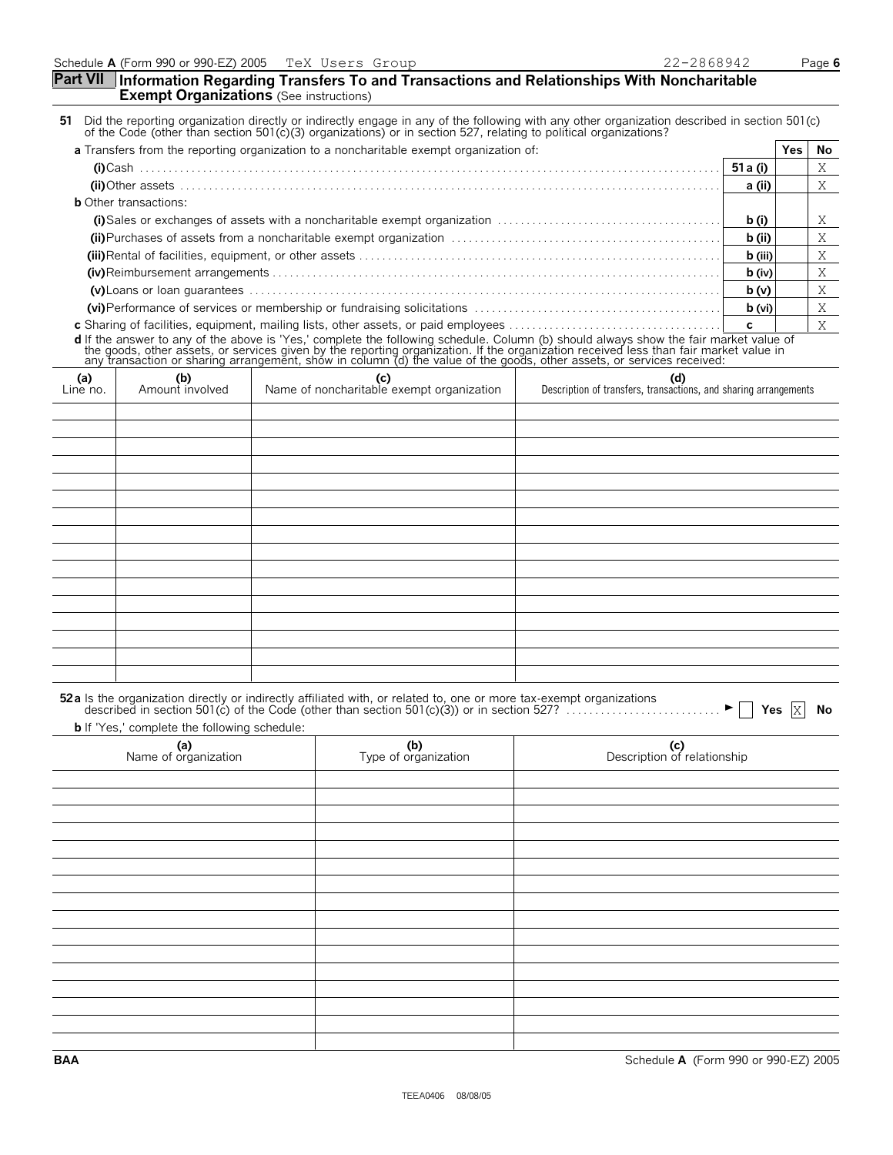#### **Part VII Information Regarding Transfers To and Transactions and Relationships With Noncharitable Exempt Organizations** (See instructions)

| 51 Did the reporting organization directly or indirectly engage in any of the following with any other organization described in section 501(c) |  |
|-------------------------------------------------------------------------------------------------------------------------------------------------|--|
| of the Code (other than section 501(c)(3) organizations) or in section 527, relating to political organizations?                                |  |
|                                                                                                                                                 |  |

| a Transfers from the reporting organization to a noncharitable exempt organization of:                                                                                                                                         |          | Yes | No. |
|--------------------------------------------------------------------------------------------------------------------------------------------------------------------------------------------------------------------------------|----------|-----|-----|
|                                                                                                                                                                                                                                |          |     |     |
|                                                                                                                                                                                                                                | a (ii)   |     |     |
| <b>b</b> Other transactions:                                                                                                                                                                                                   |          |     |     |
|                                                                                                                                                                                                                                | b(i)     |     |     |
| (ii) Purchases of assets from a noncharitable exempt organization matches contains and contained a proportional contained and contained a proportional contained and contained a proportional contained and contained a propor | b (ii)   |     |     |
|                                                                                                                                                                                                                                | b (iii)  |     |     |
|                                                                                                                                                                                                                                | $b$ (iv) |     |     |
|                                                                                                                                                                                                                                | b(v)     |     |     |
|                                                                                                                                                                                                                                | b (vi)   |     |     |
|                                                                                                                                                                                                                                |          |     |     |

**c** Sharing of facilities, equipment, mailing lists, other assets, or paid employees . . . . . . . . . . . . . . . . . . . . . . . . . . . . . . . . . . . . . **c d** If the answer to any of the above is 'Yes,' complete the following schedule. Column (b) should always show the fair market value of<br>the goods, other assets, or services given by the reporting organization. If the organ

| $\begin{matrix} \text{(a)} \\ \text{Line no.} \end{matrix}$ | (b)<br>Amount involved | (c)<br>Name of noncharitable exempt organization | (d) (d) Description of transfers, transactions, and sharing arrangements |
|-------------------------------------------------------------|------------------------|--------------------------------------------------|--------------------------------------------------------------------------|
|                                                             |                        |                                                  |                                                                          |
|                                                             |                        |                                                  |                                                                          |
|                                                             |                        |                                                  |                                                                          |
|                                                             |                        |                                                  |                                                                          |
|                                                             |                        |                                                  |                                                                          |
|                                                             |                        |                                                  |                                                                          |
|                                                             |                        |                                                  |                                                                          |
|                                                             |                        |                                                  |                                                                          |
|                                                             |                        |                                                  |                                                                          |
|                                                             |                        |                                                  |                                                                          |
|                                                             |                        |                                                  |                                                                          |
|                                                             |                        |                                                  |                                                                          |
|                                                             |                        |                                                  |                                                                          |
|                                                             |                        |                                                  |                                                                          |
|                                                             |                        |                                                  |                                                                          |
|                                                             |                        |                                                  |                                                                          |

| 52a Is the organization directly or indirectly affiliated with, or related to, one or more tax-exempt organizations<br>described in section 501(c) of the Code (other than section 501(c)(3)) or in section 527? |  |  |
|------------------------------------------------------------------------------------------------------------------------------------------------------------------------------------------------------------------|--|--|
| <b>b</b> If 'Yes,' complete the following schedule:                                                                                                                                                              |  |  |

| (a)<br>Name of organization | (b)<br>Type of organization | (c)<br>Description of relationship |
|-----------------------------|-----------------------------|------------------------------------|
|                             |                             |                                    |
|                             |                             |                                    |
|                             |                             |                                    |
|                             |                             |                                    |
|                             |                             |                                    |
|                             |                             |                                    |
|                             |                             |                                    |
|                             |                             |                                    |
|                             |                             |                                    |
|                             |                             |                                    |
|                             |                             |                                    |
|                             |                             |                                    |
|                             |                             |                                    |
|                             |                             |                                    |
|                             |                             |                                    |
|                             |                             |                                    |

**BAA** Schedule **A** (Form 990 or 990-EZ) 2005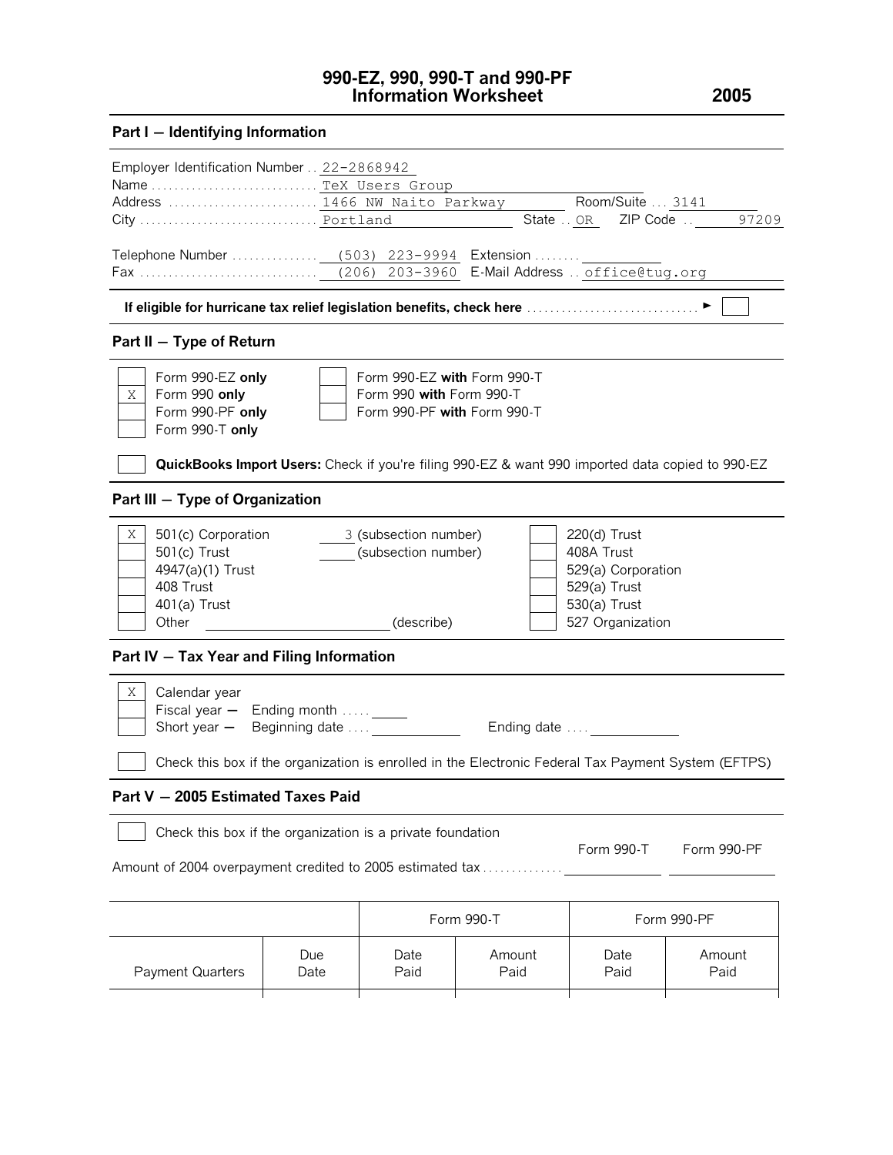# **990-EZ, 990, 990-T and 990-PF Information Worksheet 2005**

# **Part I** - **Identifying Information**

| Employer Identification Number 22-2868942                                   |                                                                                                                                                                                          |              |                                                                                                         |                     |                |  |  |
|-----------------------------------------------------------------------------|------------------------------------------------------------------------------------------------------------------------------------------------------------------------------------------|--------------|---------------------------------------------------------------------------------------------------------|---------------------|----------------|--|--|
| Name TeX Users Group                                                        |                                                                                                                                                                                          |              |                                                                                                         |                     |                |  |  |
| Address  1466 NW Naito Parkway                                              |                                                                                                                                                                                          |              |                                                                                                         | Room/Suite  3141    |                |  |  |
|                                                                             |                                                                                                                                                                                          |              |                                                                                                         | State . OR ZIP Code | 97209          |  |  |
|                                                                             |                                                                                                                                                                                          |              |                                                                                                         |                     |                |  |  |
|                                                                             |                                                                                                                                                                                          |              |                                                                                                         |                     |                |  |  |
| Part II - Type of Return                                                    |                                                                                                                                                                                          |              |                                                                                                         |                     |                |  |  |
| Χ<br>Form 990 only<br>Form 990-T only                                       | Form 990-EZ with Form 990-T<br>Form 990-EZ only<br>Form 990 with Form 990-T<br>Form 990-PF only<br>Form 990-PF with Form 990-T                                                           |              |                                                                                                         |                     |                |  |  |
|                                                                             |                                                                                                                                                                                          |              | <b>QuickBooks Import Users:</b> Check if you're filing 990-EZ & want 990 imported data copied to 990-EZ |                     |                |  |  |
| Part III - Type of Organization                                             |                                                                                                                                                                                          |              |                                                                                                         |                     |                |  |  |
| Χ<br>501(c) Trust<br>4947(a)(1) Trust<br>408 Trust<br>401(a) Trust<br>Other | 501(c) Corporation<br>3 (subsection number)<br>220(d) Trust<br>(subsection number)<br>408A Trust<br>529(a) Corporation<br>529(a) Trust<br>530(a) Trust<br>(describe)<br>527 Organization |              |                                                                                                         |                     |                |  |  |
| Part IV - Tax Year and Filing Information                                   |                                                                                                                                                                                          |              |                                                                                                         |                     |                |  |  |
| Χ<br>Calendar year<br>Short year $-$                                        | Fiscal year $-$ Ending month $\ldots$ _____<br>Beginning date<br>Ending date $\dots$                                                                                                     |              |                                                                                                         |                     |                |  |  |
|                                                                             |                                                                                                                                                                                          |              | Check this box if the organization is enrolled in the Electronic Federal Tax Payment System (EFTPS)     |                     |                |  |  |
| Part V - 2005 Estimated Taxes Paid                                          |                                                                                                                                                                                          |              |                                                                                                         |                     |                |  |  |
| Check this box if the organization is a private foundation                  |                                                                                                                                                                                          |              |                                                                                                         | Form 990-T          | Form 990-PF    |  |  |
|                                                                             | Amount of 2004 overpayment credited to 2005 estimated tax                                                                                                                                |              |                                                                                                         |                     |                |  |  |
|                                                                             |                                                                                                                                                                                          |              | Form 990-T                                                                                              |                     | Form 990-PF    |  |  |
| <b>Payment Quarters</b>                                                     | Due<br>Date                                                                                                                                                                              | Date<br>Paid | Amount<br>Paid                                                                                          | Date<br>Paid        | Amount<br>Paid |  |  |
|                                                                             |                                                                                                                                                                                          |              |                                                                                                         |                     |                |  |  |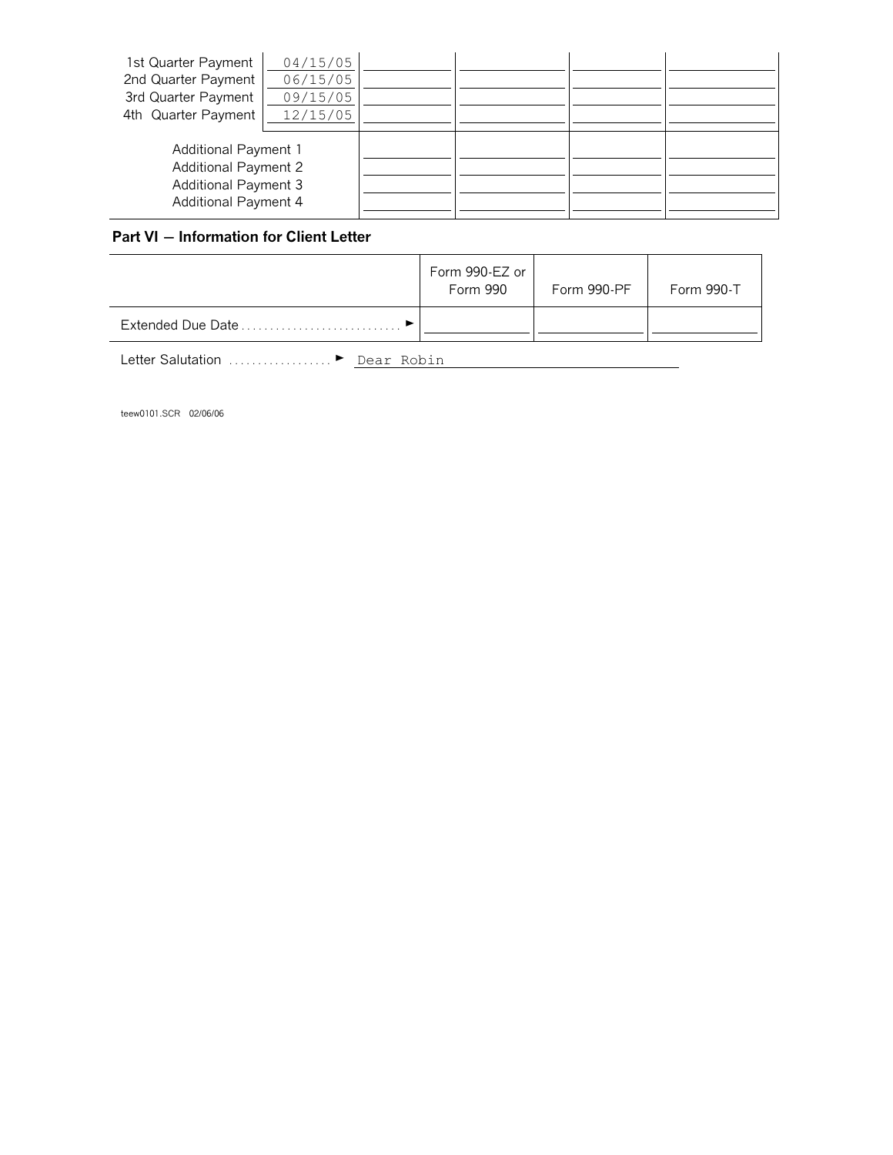| 1st Quarter Payment                                        | 04/15/05 |  |  |
|------------------------------------------------------------|----------|--|--|
| 2nd Quarter Payment                                        | 06/15/05 |  |  |
| 3rd Quarter Payment                                        | 09/15/05 |  |  |
| 4th Quarter Payment                                        | 12/15/05 |  |  |
| <b>Additional Payment 1</b><br><b>Additional Payment 2</b> |          |  |  |
| <b>Additional Payment 3</b><br><b>Additional Payment 4</b> |          |  |  |

# **Part VI** - Information for Client Letter

|                   | Form 990-EZ or<br>Form 990 | Form 990-PF | Form 990-T |
|-------------------|----------------------------|-------------|------------|
| Extended Due Date |                            |             |            |

Letter Salutation ................... <u>Dear Robin</u>

teew0101.SCR 02/06/06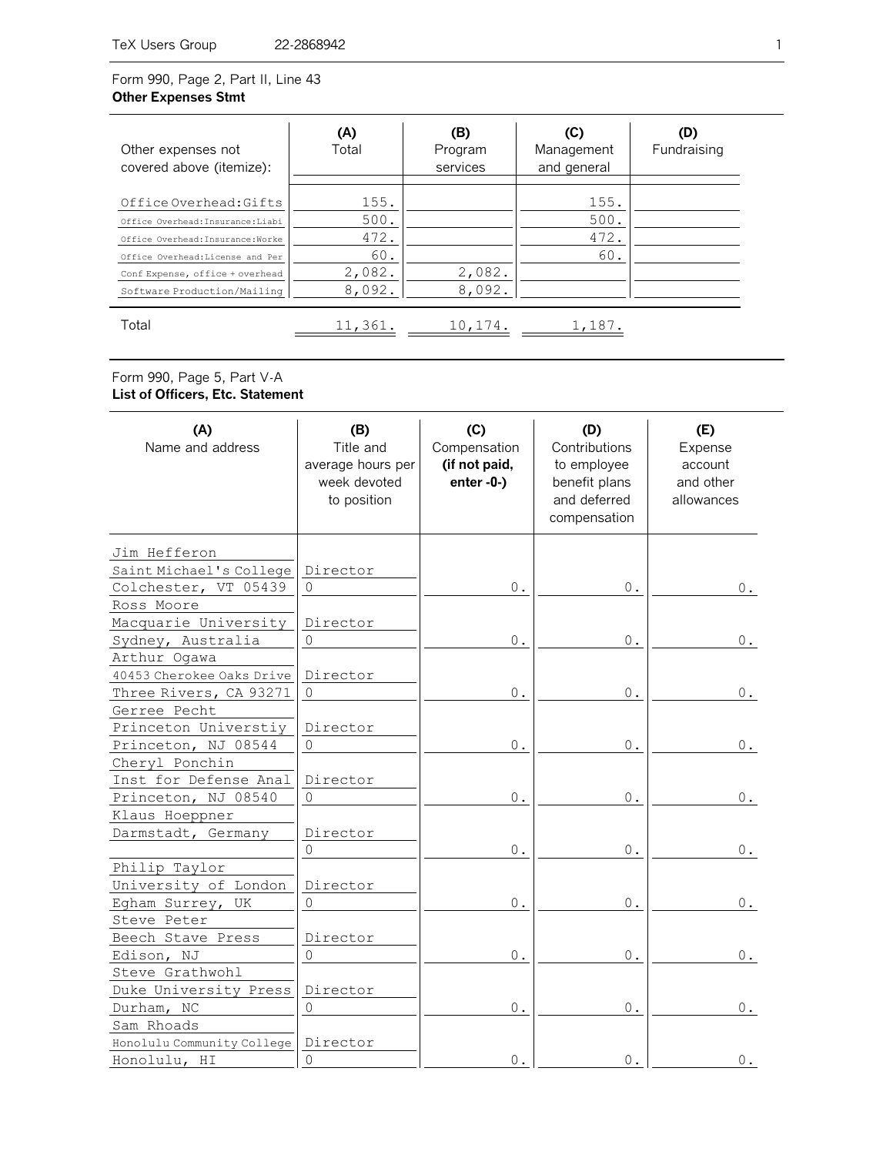# Form 990, Page 2, Part II, Line 43 **Other Expenses Stmt**

| Other expenses not<br>covered above (itemize):                                                                                                                                                         | (A)<br>Total                                    | (B)<br>Program<br>services | (C)<br>Management<br>and general | (D)<br>Fundraising |
|--------------------------------------------------------------------------------------------------------------------------------------------------------------------------------------------------------|-------------------------------------------------|----------------------------|----------------------------------|--------------------|
| Office Overhead: Gifts<br>Office Overhead: Insurance: Liabi<br>Office Overhead: Insurance: Worke<br>Office Overhead: License and Per<br>Conf Expense, office + overhead<br>Software Production/Mailing | 155.<br>500.<br>472.<br>60.<br>2,082.<br>8,092. | 2,082.<br>8,092.           | 155.<br>500.<br>472.<br>60.      |                    |
| Total                                                                                                                                                                                                  | 11,361.                                         | 10,174.                    | 1,187.                           |                    |

### Form 990, Page 5, Part V-A **List of Officers, Etc. Statement**

| (A)<br>Name and address    | (B)<br>Title and<br>average hours per<br>week devoted<br>to position | (C)<br>Compensation<br>(if not paid,<br>$enter - 0-$ | (D)<br>Contributions<br>to employee<br>benefit plans<br>and deferred<br>compensation | (E)<br>Expense<br>account<br>and other<br>allowances |
|----------------------------|----------------------------------------------------------------------|------------------------------------------------------|--------------------------------------------------------------------------------------|------------------------------------------------------|
| Jim Hefferon               |                                                                      |                                                      |                                                                                      |                                                      |
| Saint Michael's College    | Director                                                             |                                                      |                                                                                      |                                                      |
| Colchester, VT 05439       | $\circ$                                                              | $0$ .                                                | 0.                                                                                   | 0.                                                   |
| Ross Moore                 |                                                                      |                                                      |                                                                                      |                                                      |
| Macquarie University       | Director                                                             |                                                      |                                                                                      |                                                      |
| Sydney, Australia          | $\circledcirc$                                                       | $\mathbf 0$ .                                        | 0.                                                                                   | Ο.                                                   |
| Arthur Ogawa               |                                                                      |                                                      |                                                                                      |                                                      |
| 40453 Cherokee Oaks Drive  | Director                                                             |                                                      |                                                                                      |                                                      |
| Three Rivers, CA 93271     | $\mathsf O$                                                          | $\mathbf 0$ .                                        | 0.                                                                                   | 0.                                                   |
| Gerree Pecht               |                                                                      |                                                      |                                                                                      |                                                      |
| Princeton Universtiy       | Director                                                             |                                                      |                                                                                      |                                                      |
| Princeton, NJ 08544        | $\mathbb O$                                                          | 0.                                                   | 0.                                                                                   | 0.                                                   |
| Cheryl Ponchin             |                                                                      |                                                      |                                                                                      |                                                      |
| Inst for Defense Anal      | Director                                                             |                                                      |                                                                                      |                                                      |
| Princeton, NJ 08540        | $\begin{array}{c} 0 \\ 0 \end{array}$                                | $0$ .                                                | 0.                                                                                   | $0$ .                                                |
| Klaus Hoeppner             |                                                                      |                                                      |                                                                                      |                                                      |
| Darmstadt, Germany         | Director                                                             |                                                      |                                                                                      |                                                      |
|                            | $\circ$                                                              | $0$ .                                                | $0$ .                                                                                | $0$ .                                                |
| Philip Taylor              |                                                                      |                                                      |                                                                                      |                                                      |
| University of London       | Director                                                             |                                                      |                                                                                      |                                                      |
| Egham Surrey, UK           | $\mathbf 0$                                                          | $\mathbf 0$ .                                        | $0$ .                                                                                | $0$ .                                                |
| Steve Peter                |                                                                      |                                                      |                                                                                      |                                                      |
| Beech Stave Press          | Director                                                             |                                                      |                                                                                      |                                                      |
| Edison, NJ                 | $\mathbf 0$                                                          | $0$ .                                                | $0$ .                                                                                | 0.                                                   |
| Steve Grathwohl            |                                                                      |                                                      |                                                                                      |                                                      |
| Duke University Press      | Director                                                             |                                                      |                                                                                      |                                                      |
| Durham, NC                 | $\mathbb O$                                                          | $\mathbf 0$ .                                        | $0$ .                                                                                | 0.                                                   |
| Sam Rhoads                 |                                                                      |                                                      |                                                                                      |                                                      |
| Honolulu Community College | Director                                                             |                                                      |                                                                                      |                                                      |
| Honolulu, HI               | $\circ$                                                              | 0.                                                   | 0.                                                                                   | 0.                                                   |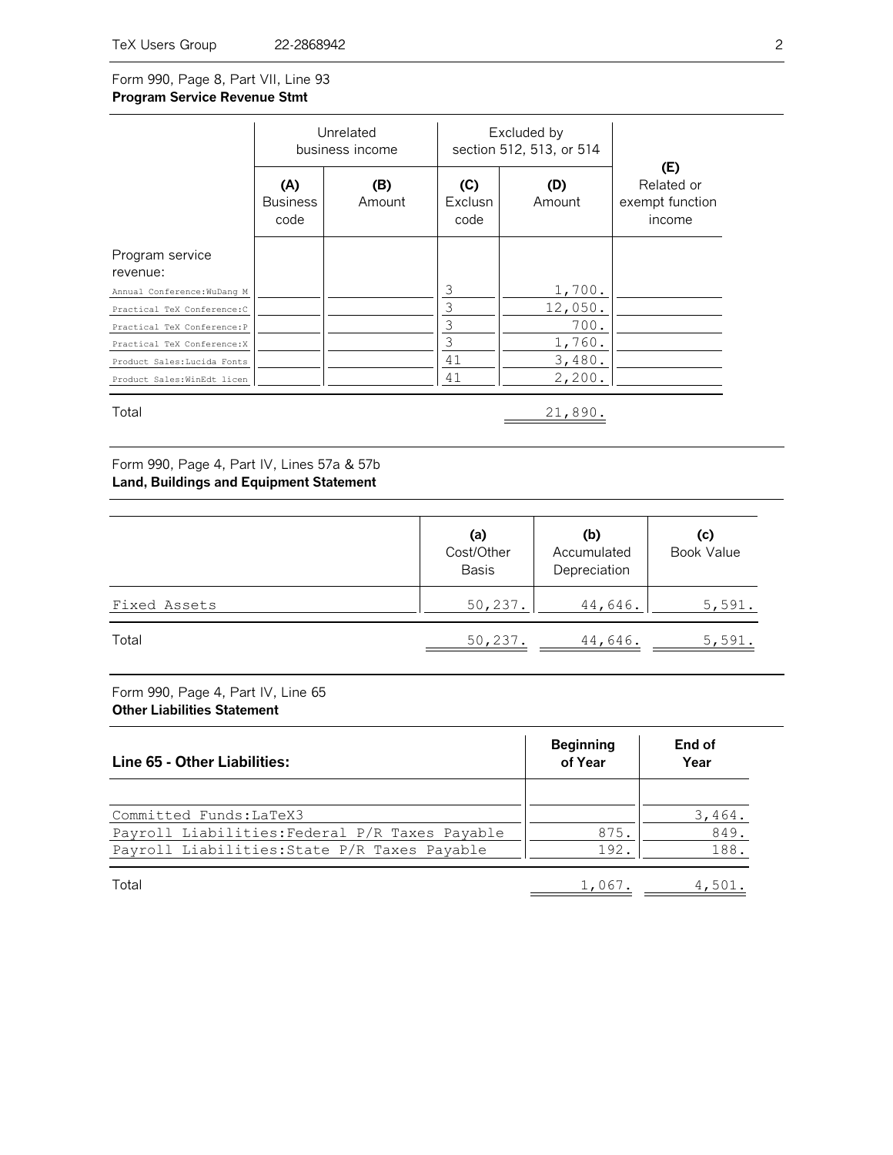### Form 990, Page 8, Part VII, Line 93 **Program Service Revenue Stmt**

|                             | Unrelated<br>business income   |               |                        | Excluded by<br>section 512, 513, or 514 |                                                       |
|-----------------------------|--------------------------------|---------------|------------------------|-----------------------------------------|-------------------------------------------------------|
|                             | (A)<br><b>Business</b><br>code | (B)<br>Amount | (C)<br>Exclusn<br>code | (D)<br>Amount                           | (E)<br>Related or<br>exempt function<br><i>income</i> |
| Program service<br>revenue: |                                |               |                        |                                         |                                                       |
| Annual Conference: WuDang M |                                |               | 3                      | 1,700.                                  |                                                       |
| Practical TeX Conference: C |                                |               | 3                      | 12,050.                                 |                                                       |
| Practical TeX Conference: P |                                |               | 3                      | 700.                                    |                                                       |
| Practical TeX Conference: X |                                |               | 3                      | 1,760.                                  |                                                       |
| Product Sales: Lucida Fonts |                                |               | 41                     | 3,480.                                  |                                                       |
| Product Sales: WinEdt licen |                                |               | 41                     | 2,200.                                  |                                                       |
| Total                       |                                |               |                        | 21,890.                                 |                                                       |

Form 990, Page 4, Part IV, Lines 57a & 57b **Land, Buildings and Equipment Statement**

|              | (a)<br>Cost/Other<br><b>Basis</b> | (b)<br>Accumulated<br>Depreciation | (c)<br><b>Book Value</b> |
|--------------|-----------------------------------|------------------------------------|--------------------------|
| Fixed Assets | 50, 237.                          | 44,646.                            | 5,591.                   |
| Total        | 50, 237.                          | 44,646.                            | 5,591.                   |

Form 990, Page 4, Part IV, Line 65 **Other Liabilities Statement**

| Line 65 - Other Liabilities:                   | <b>Beginning</b><br>of Year | End of<br>Year |
|------------------------------------------------|-----------------------------|----------------|
|                                                |                             |                |
| Committed Funds: LaTeX3                        |                             | 3,464.         |
| Payroll Liabilities: Federal P/R Taxes Payable | 875.                        | 849.           |
| Payroll Liabilities: State P/R Taxes Payable   | 192                         | 188.           |

1,067. Total 4,501.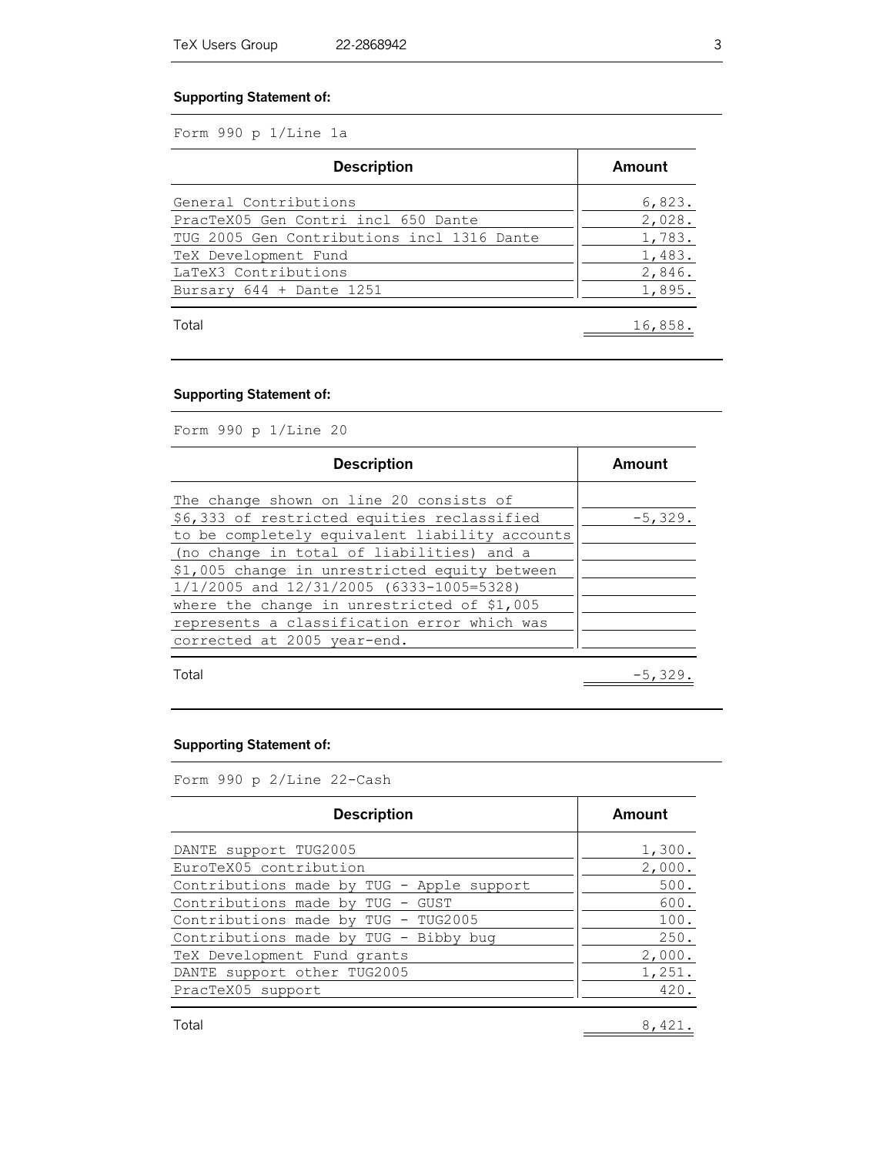#### **Supporting Statement of:**

Form 990 p 1/Line 1a

| <b>Description</b>                         | Amount  |
|--------------------------------------------|---------|
| General Contributions                      | 6,823.  |
| PracTeX05 Gen Contri incl 650 Dante        | 2,028.  |
| TUG 2005 Gen Contributions incl 1316 Dante | 1,783.  |
| TeX Development Fund                       | 1,483.  |
| LaTeX3 Contributions                       | 2,846.  |
| Bursary $644 +$ Dante 1251                 | 1,895.  |
| Total                                      | 16,858. |

#### **Supporting Statement of:**

Form 990 p 1/Line 20

| <b>Description</b>                             | Amount    |
|------------------------------------------------|-----------|
| The change shown on line 20 consists of        |           |
| \$6,333 of restricted equities reclassified    | $-5,329.$ |
| to be completely equivalent liability accounts |           |
| (no change in total of liabilities) and a      |           |
| \$1,005 change in unrestricted equity between  |           |
| 1/1/2005 and 12/31/2005 (6333-1005=5328)       |           |
| where the change in unrestricted of \$1,005    |           |
| represents a classification error which was    |           |
| corrected at 2005 year-end.                    |           |
|                                                |           |
| Total                                          | $-5,329$  |

#### **Supporting Statement of:**

Form 990 p 2/Line 22-Cash

| <b>Description</b>                        | Amount |
|-------------------------------------------|--------|
| DANTE support TUG2005                     | 1,300. |
| EuroTeX05 contribution                    | 2,000. |
| Contributions made by TUG - Apple support | 500.   |
| Contributions made by TUG - GUST          | 600.   |
| Contributions made by TUG - TUG2005       | 100.   |
| Contributions made by TUG - Bibby bug     | 250.   |
| TeX Development Fund grants               | 2,000. |
| DANTE support other TUG2005               | 1,251. |
| PracTeX05 support                         | 420.   |
|                                           |        |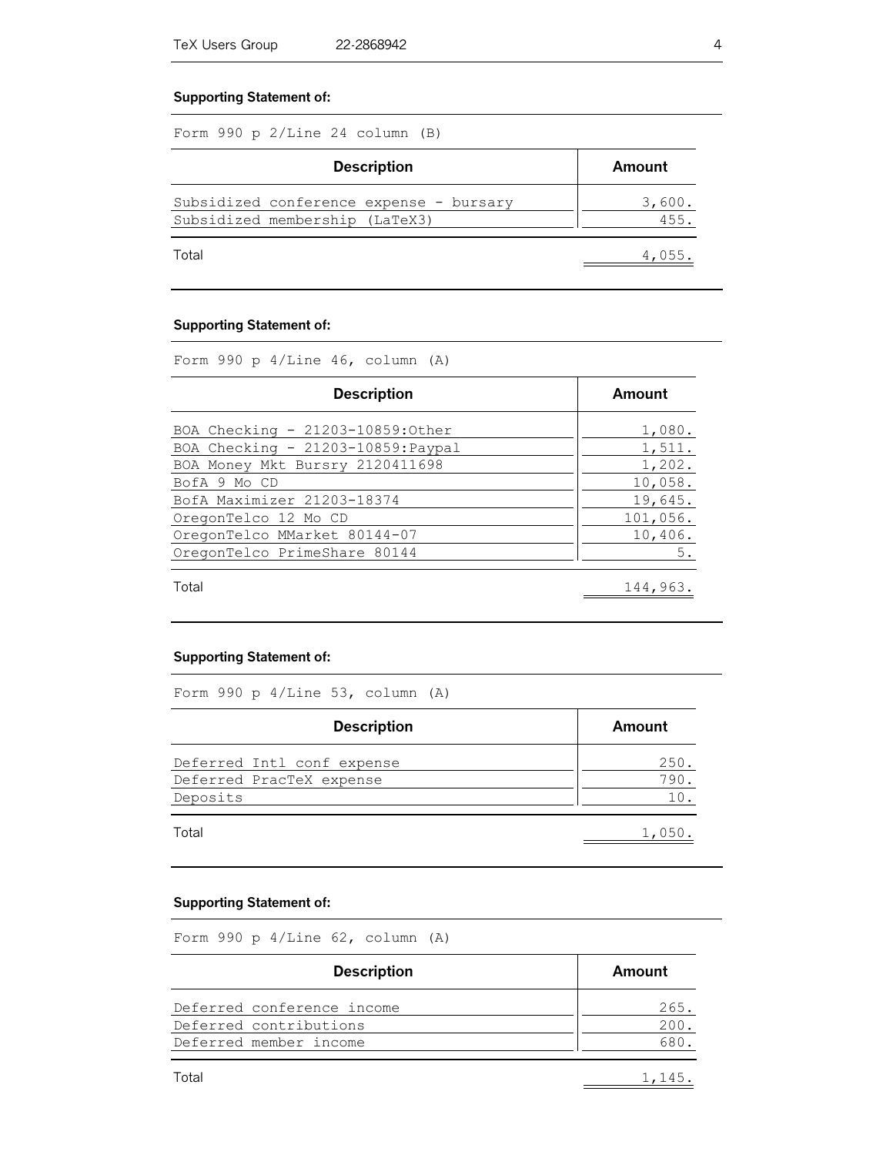#### **Supporting Statement of:**

Form 990 p 2/Line 24 column (B)

| <b>Description</b>                                                        | Amount         |
|---------------------------------------------------------------------------|----------------|
| Subsidized conference expense - bursary<br>Subsidized membership (LaTeX3) | 3,600.<br>455. |
| Total                                                                     | 4,055          |

#### **Supporting Statement of:**

Form 990 p 4/Line 46, column (A)

| <b>Description</b>                                                      | Amount           |
|-------------------------------------------------------------------------|------------------|
| BOA Checking - 21203-10859: Other<br>BOA Checking - 21203-10859: Paypal | 1,080.<br>1,511. |
| BOA Money Mkt Bursry 2120411698                                         | 1,202.           |
| BofA 9 Mo CD                                                            | 10,058.          |
| BofA Maximizer 21203-18374                                              | 19,645.          |
| OregonTelco 12 Mo CD                                                    | 101,056.         |
| OregonTelco MMarket 80144-07                                            | 10,406.          |
| OregonTelco PrimeShare 80144                                            | 5.               |
| Total                                                                   | 144,963.         |

#### **Supporting Statement of:**

Form 990 p 4/Line 53, column (A)

| <b>Description</b>         | Amount |
|----------------------------|--------|
| Deferred Intl conf expense | 250.   |
| Deferred PracTeX expense   | 790.   |
| Deposits                   |        |
| Total                      | 1,050  |

#### **Supporting Statement of:**

Form 990 p 4/Line 62, column (A)

| <b>Description</b>         | Amount |
|----------------------------|--------|
| Deferred conference income | 265.   |
| Deferred contributions     | 200    |
| Deferred member income     |        |